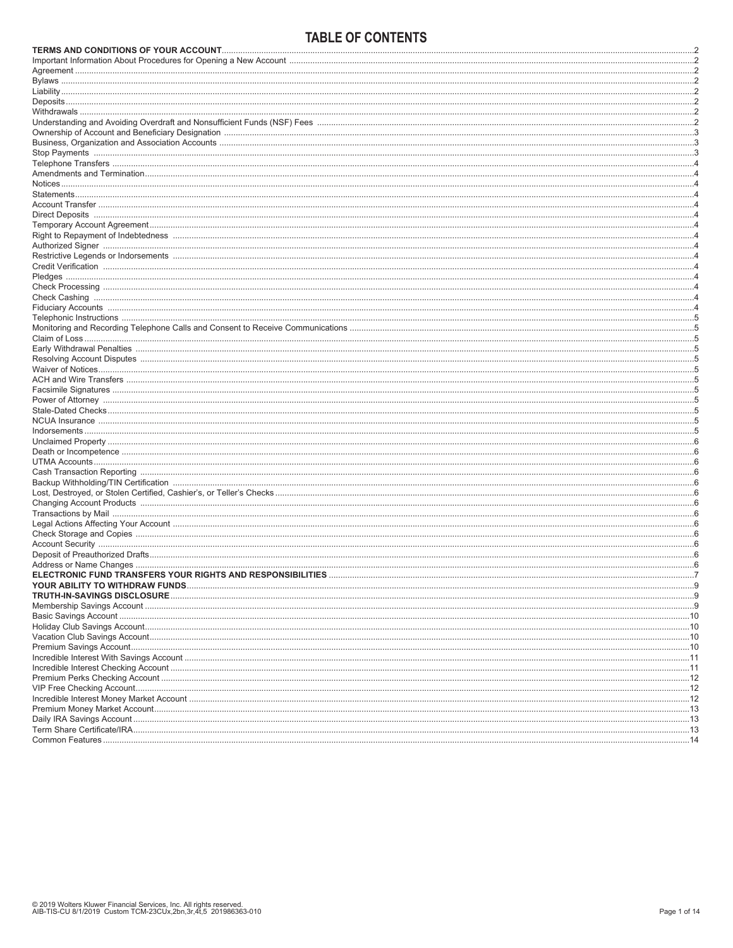# TARI F OF CONTENTS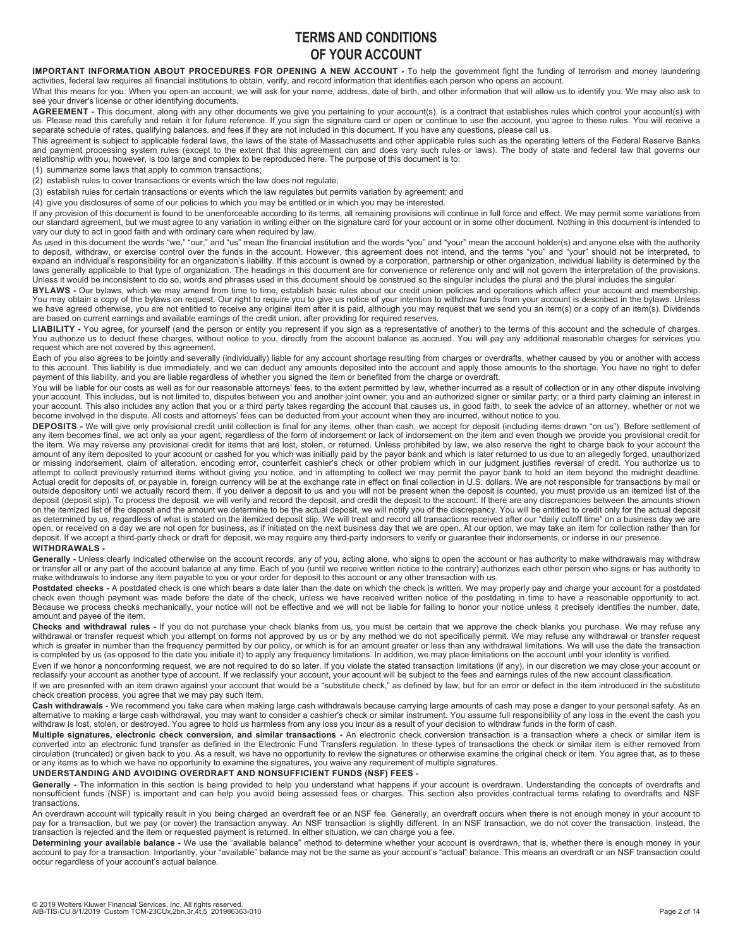# **TERMS AND CONDITIONS OF YOUR ACCOUNT**

### IMPORTANT INFORMATION ABOUT PROCEDURES FOR OPENING A NEW ACCOUNT - To help the government fight the funding of terrorism and money laundering activities, federal law requires all financial institutions to obtain, verify, and record information that identifies each person who opens an account.

What this means for you: When you open an account, we will ask for your name, address, date of birth, and other information that will allow us to identify you. We may also ask to see your driver's license or other identifying documents.

**AGREEMENT -** This document, along with any other documents we give you pertaining to your account(s), is a contract that establishes rules which control your account(s) with<br>us. Please read this carefully and retain it fo

This agreement is subject to applicable federal laws, the laws of the state of Massachusetts and other applicable rules such as the operating letters of the Federal Reserve Banks and payment processing system rules (except to the extent that this agreement can and does vary such rules or laws). The body of state and federal law that governs our relationship with you, however, is too large and complex to be reproduced here. The purpose of this document is to:

(1) summarize some laws that apply to common transactions;

(2) establish rules to cover transactions or events which the law does not regulate;

(3) establish rules for certain transactions or events which the law regulates but permits variation by agreement; and

(4) give you disclosures of some of our policies to which you may be entitled or in which you may be interested.

If any provision of this document is found to be unenforceable according to its terms, all remaining provisions will continue in full force and effect. We may permit some variations from<br>our standard agreement, but we must vary our duty to act in good faith and with ordinary care when required by law.

As used in this document the words "we," "our," and "us" mean the financial institution and the words "you" and "your" mean the account holder(s) and anyone else with the authority to deposit, withdraw, or exercise control over the funds in the account. However, this agreement does not intend, and the terms "you" and "your" should not be interpreted, to expand an individual's responsibility for an organization's liability. If this account is owned by a corporation, partnership or other organization, individual liability is determined by the laws generally applicable to that type of organization. The headings in this document are for convenience or reference only and will not govern the interpretation of the provisions. Unless it would be inconsistent to do so, words and phrases used in this document should be construed so the singular includes the plural and the plural includes the singular.

**BYLAWS -** Our bylaws, which we may amend from time to time, establish basic rules about our credit union policies and operations which affect your account and membership. You may obtain a copy of the bylaws on request. Our right to require you to give us notice of your intention to withdraw funds from your account is described in the bylaws. Unless we have agreed otherwise, you are not entitled to receive any original item after it is paid, although you may request that we send you an item(s) or a copy of an item(s). Dividends are based on current earnings and available earnings of the credit union, after providing for required reserves.

LIABILITY - You agree, for yourself (and the person or entity you represent if you sign as a representative of another) to the terms of this account and the schedule of charges. You authorize us to deduct these charges, without notice to you, directly from the account balance as accrued. You will pay any additional reasonable charges for services you request which are not covered by this agreement.

Each of you also agrees to be jointly and severally (individually) liable for any account shortage resulting from charges or overdrafts, whether caused by you or another with access<br>to this account. This liability is due i

You will be liable for our costs as well as for our reasonable attorneys' fees, to the extent permitted by law, whether incurred as a result of collection or in any other dispute involving your account. This includes, but is not limited to, disputes between you and another joint owner; you and an authorized signer or similar party; or a third party claiming an interest in your account. This also includes any action that you or a third party takes regarding the account that causes us, in good faith, to seek the advice of an attorney, whether or not we become involved in the dispute. All costs and attorneys' fees can be deducted from your account when they are incurred, without notice to you.

**DEPOSITS -** We will give only provisional credit until collection is final for any items, other than cash, we accept for deposit (including items drawn "on us"). Before settlement of any item becomes final, we act only as your agent, regardless of the form of indorsement or lack of indorsement on the item and even though we provide you provisional credit for the item. We may reverse any provisional credit for items that are lost, stolen, or returned. Unless prohibited by law, we also reserve the right to charge back to your account the amount of any item deposited to your account or cashed for you which was initially paid by the payor bank and which is later returned to us due to an allegedly forged, unauthorized or missing indorsement, claim of alteration, encoding error, counterfeit cashier's check or other problem which in our judgment justifies reversal of credit. You authorize us to attempt to collect previously returned items without giving you notice, and in attempting to collect we may permit the payor bank to hold an item beyond the midnight deadline.<br>Actual credit for deposits of, or payable in, outside depository until we actually record them. If you deliver a deposit to us and you will not be present when the deposit is counted, you must provide us an itemized list of the<br>deposit (deposit slip). To process the d as determined by us, regardless of what is stated on the itemized deposit slip. We will treat and record all transactions received after our "daily cutoff time" on a business day we are open, or received on a day we are not open for business, as if initiated on the next business day that we are open. At our option, we may take an item for collection rather than for deposit. If we accept a third-party check or draft for deposit, we may require any third-party indorsers to verify or guarantee their indorsements, or indorse in our presence.

### **WITHDRAWALS -**

Generally - Unless clearly indicated otherwise on the account records, any of you, acting alone, who signs to open the account or has authority to make withdrawals may withdraw or transfer all or any part of the account balance at any time. Each of you (until we receive written notice to the contrary) authorizes each other person who signs or has authority to make withdrawals to indorse any item payable to you or your order for deposit to this account or any other transaction with us.

Postdated checks - A postdated check is one which bears a date later than the date on which the check is written. We may properly pay and charge your account for a postdated check even though payment was made before the date of the check, unless we have received written notice of the postdating in time to have a reasonable opportunity to act. Because we process checks mechanically, your notice will not be effective and we will not be liable for failing to honor your notice unless it precisely identifies the number, date, amount and payee of the item.

Checks and withdrawal rules - If you do not purchase your check blanks from us, you must be certain that we approve the check blanks you purchase. We may refuse any<br>withdrawal or transfer request which you attempt on forms which is greater in number than the frequency permitted by our policy, or which is for an amount greater or less than any withdrawal limitations. We will use the date the transaction<br>is completed by us (as opposed to the d

Even if we honor a nonconforming request, we are not required to do so later. If you violate the stated transaction limitations (if any), in our discretion we may close your account or reclassify your account as another type of account. If we reclassify your account, your account will be subject to the fees and earnings rules of the new account classification.

If we are presented with an item drawn against your account that would be a "substitute check," as defined by law, but for an error or defect in the item introduced in the substitute check creation process, you agree that we may pay such item.

**Cash withdrawals -** We recommend you take care when making large cash withdrawals because carrying large amounts of cash may pose a danger to your personal safety. As an<br>alternative to making a large cash withdrawal, you

**Multiple signatures, electronic check conversion, and similar transactions -** An electronic check conversion transaction is a transaction where a check or similar item is converted into an electronic fund transfer as defined in the Electronic Fund Transfers regulation. In these types of transactions the check or similar item is either removed from circulation (truncated) or given back to you. As a result, we have no opportunity to review the signatures or otherwise examine the original check or item. You agree that, as to these or any items as to which we have no opportunity to examine the signatures, you waive any requirement of multiple signatures.

# **UNDERSTANDING AND AVOIDING OVERDRAFT AND NONSUFFICIENT FUNDS (NSF) FEES -**

Generally - The information in this section is being provided to help you understand what happens if your account is overdrawn. Understanding the concepts of overdrafts and nonsufficient funds (NSF) is important and can help you avoid being assessed fees or charges. This section also provides contractual terms relating to overdrafts and NSF transactions.

An overdrawn account will typically result in you being charged an overdraft fee or an NSF fee. Generally, an overdraft occurs when there is not enough money in your account to<br>pay for a transaction, but we pay (or cover) transaction is rejected and the item or requested payment is returned. In either situation, we can charge you a fee.

**Determining your available balance -** We use the "available balance" method to determine whether your account is overdrawn, that is, whether there is enough money in your account to pay for a transaction. Importantly, your "available" balance may not be the same as your account's "actual" balance. This means an overdraft or an NSF transaction could occur regardless of your account's actual balance.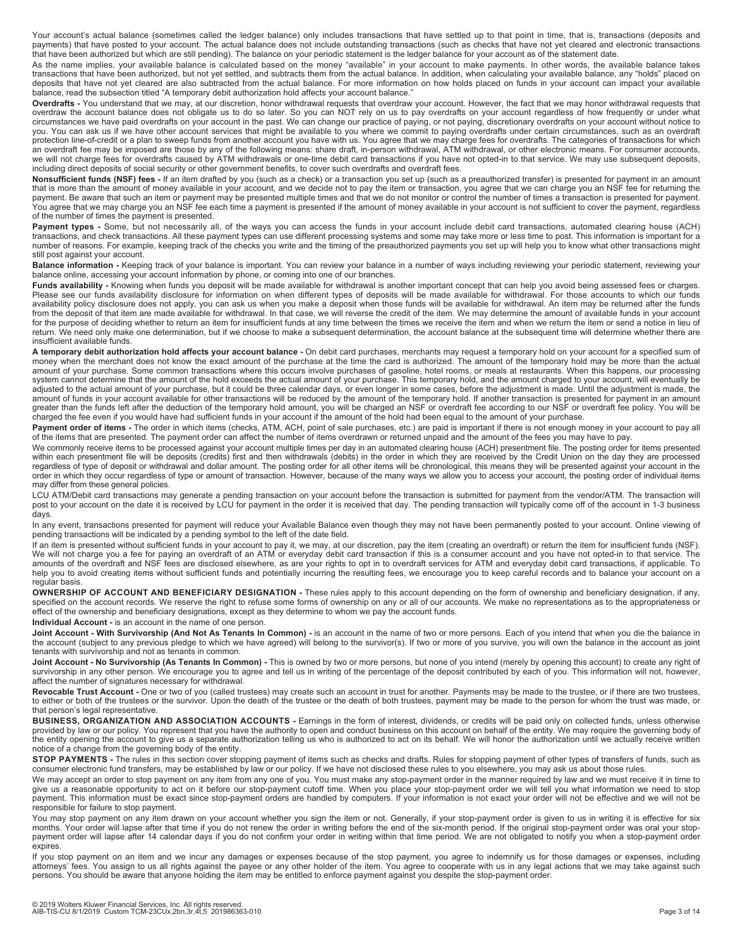Your account's actual balance (sometimes called the ledger balance) only includes transactions that have settled up to that point in time, that is, transactions (deposits and payments) that have posted to your account. The actual balance does not include outstanding transactions (such as checks that have not yet cleared and electronic transactions that have been authorized but which are still pending). The balance on your periodic statement is the ledger balance for your account as of the statement date.

As the name implies, your available balance is calculated based on the money "available" in your account to make payments. In other words, the available balance takes transactions that have been authorized, but not yet settled, and subtracts them from the actual balance. In addition, when calculating your available balance, any "holds" placed on deposits that have not yet cleared are also subtracted from the actual balance. For more information on how holds placed on funds in your account can impact your available balance, read the subsection titled "A temporary debit authorization hold affects your account balance."

**Overdrafts -** You understand that we may, at our discretion, honor withdrawal requests that overdraw your account. However, the fact that we may honor withdrawal requests that overdraw the account balance does not obligate us to do so later. So you can NOT rely on us to pay overdrafts on your account regardless of how frequently or under what<br>circumstances we have paid overdrafts on your account protection line-of-credit or a plan to sweep funds from another account you have with us. You agree that we may charge fees for overdrafts. The categories of transactions for which<br>an overdraft fee may be imposed are those including direct deposits of social security or other government benefits, to cover such overdrafts and overdraft fees.

**Nonsufficient funds (NSF) fees -** If an item drafted by you (such as a check) or a transaction you set up (such as a preauthorized transfer) is presented for payment in an amount<br>that is more than the amount of money avai You agree that we may charge you an NSF fee each time a payment is presented if the amount of money available in your account is not sufficient to cover the payment, regardless of the number of times the payment is presented.

Payment types - Some, but not necessarily all, of the ways you can access the funds in your account include debit card transactions, automated clearing house (ACH) transactions, and check transactions. All these payment types can use different processing systems and some may take more or less time to post. This information is important for a number of reasons. For example, keeping track of the checks you write and the timing of the preauthorized payments you set up will help you to know what other transactions might still post against your account.

**Balance information -** Keeping track of your balance is important. You can review your balance in a number of ways including reviewing your periodic statement, reviewing your balance online, accessing your account information by phone, or coming into one of our branches.

**Funds availability -** Knowing when funds you deposit will be made available for withdrawal is another important concept that can help you avoid being assessed fees or charges. Please see our funds availability disclosure for information on when different types of deposits will be made available for withdrawal. For those accounts to which our funds<br>availability policy disclosure does not apply, y for the purpose of deciding whether to return an item for insufficient funds at any time between the times we receive the item and when we return the item or send a notice in lieu of return. We need only make one determination, but if we choose to make a subsequent determination, the account balance at the subsequent time will determine whether there are insufficient available funds.

**A temporary debit authorization hold affects your account balance -** On debit card purchases, merchants may request a temporary hold on your account for a specified sum of money when the merchant does not know the exact amount of the purchase at the time the card is authorized. The amount of the temporary hold may be more than the actual<br>amount of your purchase. Some common transactions wher system cannot determine that the amount of the hold exceeds the actual amount of your purchase. This temporary hold, and the amount charged to your account, will eventually be adjusted to the actual amount of your purchase, but it could be three calendar days, or even longer in some cases, before the adjustment is made. Until the adjustment is made, the amount of funds in your account available for other transactions will be reduced by the amount of the temporary hold. If another transaction is presented for payment in an amount greater than the funds left after the deduction of the temporary hold amount, you will be charged an NSF or overdraft fee according to our NSF or overdraft fee policy. You will be charged the fee even if you would have had sufficient funds in your account if the amount of the hold had been equal to the amount of your purchase.

**Payment order of items -** The order in which items (checks, ATM, ACH, point of sale purchases, etc.) are paid is important if there is not enough money in your account to pay all<br>of the items that are presented. The payme

We commonly receive items to be processed against your account multiple times per day in an automated clearing house (ACH) presentment file. The posting order for items presented within each presentment file will be deposits (credits) first and then withdrawals (debits) in the order in which they are received by the Credit Union on the day they are processed regardless of type of deposit or withdrawal and dollar amount. The posting order for all other items will be chronological, this means they will be presented against your account in the order in which they occur regardless of type or amount of transaction. However, because of the many ways we allow you to access your account, the posting order of individual items may differ from these general policies.

LCU ATM/Debit card transactions may generate a pending transaction on your account before the transaction is submitted for payment from the vendor/ATM. The transaction will post to your account on the date it is received by LCU for payment in the order it is received that day. The pending transaction will typically come off of the account in 1-3 business days.

In any event, transactions presented for payment will reduce your Available Balance even though they may not have been permanently posted to your account. Online viewing of pending transactions will be indicated by a pending symbol to the left of the date field.

If an item is presented without sufficient funds in your account to pay it, we may, at our discretion, pay the item (creating an overdraft) or return the item for insufficient funds (NSF). We will not charge you a fee for paying an overdraft of an ATM or everyday debit card transaction if this is a consumer account and you have not opted-in to that service. The amounts of the overdraft and NSF fees are disclosed elsewhere, as are your rights to opt in to overdraft services for ATM and everyday debit card transactions, if applicable. To<br>help you to avoid creating items without suf regular basis.

**OWNERSHIP OF ACCOUNT AND BENEFICIARY DESIGNATION -** These rules apply to this account depending on the form of ownership and beneficiary designation, if any, specified on the account records. We reserve the right to refuse some forms of ownership on any or all of our accounts. We make no representations as to the appropriateness or<br>effect of the ownership and beneficiary design

**Individual Account -** is an account in the name of one person.

Joint Account - With Survivorship (And Not As Tenants In Common) - is an account in the name of two or more persons. Each of you intend that when you die the balance in the account (subject to any previous pledge to which we have agreed) will belong to the survivor(s). If two or more of you survive, you will own the balance in the account as joint tenants with survivorship and not as tenants in common.

Joint Account - No Survivorship (As Tenants In Common) - This is owned by two or more persons, but none of you intend (merely by opening this account) to create any right of survivorship in any other person. We encourage you to agree and tell us in writing of the percentage of the deposit contributed by each of you. This information will not, however, affect the number of signatures necessary for withdrawal.

Revocable Trust Account - One or two of you (called trustees) may create such an account in trust for another. Payments may be made to the trustee, or if there are two trustees, to either or both of the trustees or the survivor. Upon the death of the trustee or the death of both trustees, payment may be made to the person for whom the trust was made, or that person's legal representative.

**BUSINESS, ORGANIZATION AND ASSOCIATION ACCOUNTS** - Earnings in the form of interest, dividends, or credits will be paid only on collected funds, unless otherwise provided by law or our policy. You represent that you have the authority to open and conduct business on this account on behalf of the entity. We may require the governing body of the entity opening the account to give us a separate authorization telling us who is authorized to act on its behalf. We will honor the authorization until we actually receive written notice of a change from the governing body of the entity.

**STOP PAYMENTS -** The rules in this section cover stopping payment of items such as checks and drafts. Rules for stopping payment of other types of transfers of funds, such as consumer electronic fund transfers, may be established by law or our policy. If we have not disclosed these rules to you elsewhere, you may ask us about those rules.

We may accept an order to stop payment on any item from any one of you. You must make any stop-payment order in the manner required by law and we must receive it in time to give us a reasonable opportunity to act on it before our stop-payment cutoff time. When you place your stop-payment order we will tell you what information we need to stop payment. This information must be exact since stop-payment orders are handled by computers. If your information is not exact your order will not be effective and we will not be responsible for failure to stop payment.

You may stop payment on any item drawn on your account whether you sign the item or not. Generally, if your stop-payment order is given to us in writing it is effective for six months. Your order will lapse after that time if you do not renew the order in writing before the end of the six-month period. If the original stop-payment order was oral your stoppayment order will lapse after 14 calendar days if you do not confirm your order in writing within that time period. We are not obligated to notify you when a stop-payment order expires.

If you stop payment on an item and we incur any damages or expenses because of the stop payment, you agree to indemnify us for those damages or expenses, including<br>attorneys' fees. You assign to us all rights against the p persons. You should be aware that anyone holding the item may be entitled to enforce payment against you despite the stop-payment order.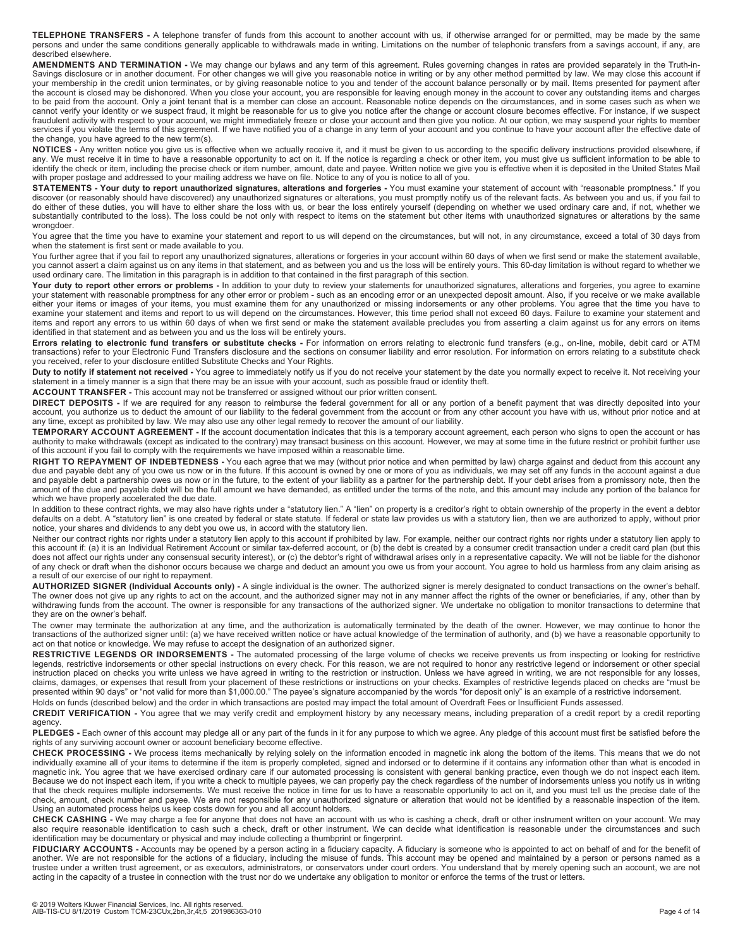**TELEPHONE TRANSFERS -** A telephone transfer of funds from this account to another account with us, if otherwise arranged for or permitted, may be made by the same persons and under the same conditions generally applicable to withdrawals made in writing. Limitations on the number of telephonic transfers from a savings account, if any, are described elsewhere.

**AMENDMENTS AND TERMINATION -** We may change our bylaws and any term of this agreement. Rules governing changes in rates are provided separately in the Truth-in-Savings disclosure or in another document. For other changes we will give you reasonable notice in writing or by any other method permitted by law. We may close this account if<br>your membership in the credit union terminate to be paid from the account. Only a joint tenant that is a member can close an account. Reasonable notice depends on the circumstances, and in some cases such as when we cannot verify your identity or we suspect fraud, it might be reasonable for us to give you notice after the change or account closure becomes effective. For instance, if we suspect fraudulent activity with respect to your account, we might immediately freeze or close your account and then give you notice. At our option, we may suspend your rights to member services if you violate the terms of this agreement. If we have notified you of a change in any term of your account and you continue to have your account after the effective date of the change, you have agreed to the new term(s).

**NOTICES -** Any written notice you give us is effective when we actually receive it, and it must be given to us according to the specific delivery instructions provided elsewhere, if any. We must receive it in time to have a reasonable opportunity to act on it. If the notice is regarding a check or other item, you must give us sufficient information to be able to able to act on it. If the notice is reg identify the check or item, including the precise check or item number, amount, date and payee. Written notice we give you is effective when it is deposited in the United States Mail with proper postage and addressed to your mailing address we have on file. Notice to any of you is notice to all of you.

**STATEMENTS - Your duty to report unauthorized signatures, alterations and forgeries -** You must examine your statement of account with "reasonable promptness." If you discover (or reasonably should have discovered) any unauthorized signatures or alterations, you must promptly notify us of the relevant facts. As between you and us, if you fail to do either of these duties, you will have to either share the loss with us, or bear the loss entirely yourself (depending on whether we used ordinary care and, if not, whether we used ordinary care and, if not, whether we u substantially contributed to the loss). The loss could be not only with respect to items on the statement but other items with unauthorized signatures or alterations by the same wrongdoer.

You agree that the time you have to examine your statement and report to us will depend on the circumstances, but will not, in any circumstance, exceed a total of 30 days from when the statement is first sent or made available to you.

You further agree that if you fail to report any unauthorized signatures, alterations or forgeries in your account within 60 days of when we first send or make the statement available, you cannot assert a claim against us on any items in that statement, and as between you and us the loss will be entirely yours. This 60-day limitation is without regard to whether we used ordinary care. The limitation in this paragraph is in addition to that contained in the first paragraph of this section.

Your duty to report other errors or problems - In addition to your duty to review your statements for unauthorized signatures, alterations and forgeries, you agree to examine your statement with reasonable promptness for any other error or problem - such as an encoding error or an unexpected deposit amount. Also, if you receive or we make available either your items or images of your items, you must examine them for any unauthorized or missing indorsements or any other problems. You agree that the time you have to examine your statement and items and report to us will depend on the circumstances. However, this time period shall not exceed 60 days. Failure to examine your statement and items and report any errors to us within 60 days of when we first send or make the statement available precludes you from asserting a claim against us for any errors on items identified in that statement and as between you and us the loss will be entirely yours.

**Errors relating to electronic fund transfers or substitute checks -** For information on errors relating to electronic fund transfers (e.g., on-line, mobile, debit card or ATM<br>transactions) refer to your Electronic Fund Tr you received, refer to your disclosure entitled Substitute Checks and Your Rights.

Duty to notify if statement not received - You agree to immediately notify us if you do not receive your statement by the date you normally expect to receive it. Not receiving your statement in a timely manner is a sign that there may be an issue with your account, such as possible fraud or identity theft.

**ACCOUNT TRANSFER -** This account may not be transferred or assigned without our prior written consent.

**DIRECT DEPOSITS** - If we are required for any reason to reimburse the federal government for all or any portion of a benefit payment that was directly deposited into your<br>account, you authorize us to deduct the amount of any time, except as prohibited by law. We may also use any other legal remedy to recover the amount of our liability.

**TEMPORARY ACCOUNT AGREEMENT -** If the account documentation indicates that this is a temporary account agreement, each person who signs to open the account or has authority to make withdrawals (except as indicated to the contrary) may transact business on this account. However, we may at some time in the future restrict or prohibit further use of this account if you fail to comply with the requirements we have imposed within a reasonable time.

**RIGHT TO REPAYMENT OF INDEBTEDNESS -** You each agree that we may (without prior notice and when permitted by law) charge against and deduct from this account any due and payable debt any of you owe us now or in the future. If this account is owned by one or more of you as individuals, we may set off any funds in the account against a due and payable debt a partnership owes us now or in the future, to the extent of your liability as a partner for the partnership debt. If your debt arises from a promissory note, then the amount of the due and payable debt will be the full amount we have demanded, as entitled under the terms of the note, and this amount may include any portion of the balance for which we have properly accelerated the due date.

In addition to these contract rights, we may also have rights under a "statutory lien." A "lien" on property is a creditor's right to obtain ownership of the property in the event a debtor defaults on a debt. A "statutory lien" is one created by federal or state statute. If federal or state law provides us with a statutory lien, then we are authorized to apply, without prior notice, your shares and dividends to any debt you owe us, in accord with the statutory lien.

Neither our contract rights nor rights under a statutory lien apply to this account if prohibited by law. For example, neither our contract rights nor rights under a statutory lien apply to this account if: (a) it is an Individual Retirement Account or similar tax-deferred account, or (b) the debt is created by a consumer credit transaction under a credit card plan (but this<br>does not affect our rights under a a result of our exercise of our right to repayment.

**AUTHORIZED SIGNER (Individual Accounts only) -** A single individual is the owner. The authorized signer is merely designated to conduct transactions on the owner's behalf. The owner does not give up any rights to act on the account, and the authorized signer may not in any manner affect the rights of the owner or beneficiaries, if any, other than by<br>withdrawing funds from the account. The ow they are on the owner's behalf.

The owner may terminate the authorization at any time, and the authorization is automatically terminated by the death of the owner. However, we may continue to honor the transactions of the authorized signer until: (a) we have received written notice or have actual knowledge of the termination of authority, and (b) we have a reasonable opportunity to act on that notice or knowledge. We may refuse to accept the designation of an authorized signer.

**RESTRICTIVE LEGENDS OR INDORSEMENTS -** The automated processing of the large volume of checks we receive prevents us from inspecting or looking for restrictive legends, restrictive indorsements or other special instructions on every check. For this reason, we are not required to honor any restrictive legend or indorsement or other special instruction placed on checks you write unless we have agreed in writing to the restriction or instruction. Unless we have agreed in writing, we are not responsible for any losses, claims, damages, or expenses that result from your placement of these restrictions or instructions on your checks. Examples of restrictive legends placed on checks are "must be presented within 90 days" or "not valid for more than \$1,000.00." The payee's signature accompanied by the words "for deposit only" is an example of a restrictive indorsement. Holds on funds (described below) and the order in which transactions are posted may impact the total amount of Overdraft Fees or Insufficient Funds assessed.

# **CREDIT VERIFICATION -** You agree that we may verify credit and employment history by any necessary means, including preparation of a credit report by a credit reporting agency.

PLEDGES - Each owner of this account may pledge all or any part of the funds in it for any purpose to which we agree. Any pledge of this account must first be satisfied before the rights of any surviving account owner or account beneficiary become effective.

**CHECK PROCESSING -** We process items mechanically by relying solely on the information encoded in magnetic ink along the bottom of the items. This means that we do not individually examine all of your items to determine if the item is properly completed, signed and indorsed or to determine if it contains any information other than what is encoded in<br>magnetic ink. You agree that we have e Because we do not inspect each item, if you write a check to multiple payees, we can properly pay the check regardless of the number of indorsements unless you notify us in writing that the check requires multiple indorsements. We must receive the notice in time for us to have a reasonable opportunity to act on it, and you must tell us the precise date of the check, amount, check number and payee. We are not responsible for any unauthorized signature or alteration that would not be identified by a reasonable inspection of the item. Using an automated process helps us keep costs down for you and all account holders.

**CHECK CASHING -** We may charge a fee for anyone that does not have an account with us who is cashing a check, draft or other instrument written on your account. We may also require reasonable identification to cash such a check, draft or other instrument. We can decide what identification is reasonable under the circumstances and such identification may be documentary or physical and may include collecting a thumbprint or fingerprint.

**FIDUCIARY ACCOUNTS -** Accounts may be opened by a person acting in a fiduciary capacity. A fiduciary is someone who is appointed to act on behalf of and for the benefit of<br>another. We are not responsible for the actions o trustee under a written trust agreement, or as executors, administrators, or conservators under court orders. You understand that by merely opening such an account, we are not acting in the capacity of a trustee in connection with the trust nor do we undertake any obligation to monitor or enforce the terms of the trust or letters.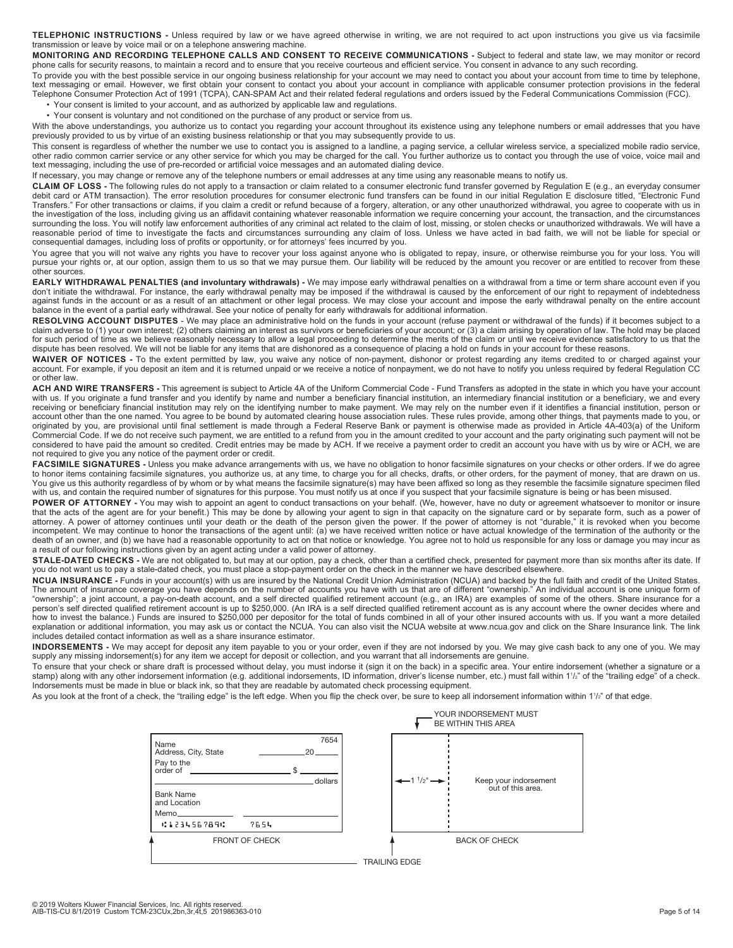**TELEPHONIC INSTRUCTIONS -** Unless required by law or we have agreed otherwise in writing, we are not required to act upon instructions you give us via facsimile transmission or leave by voice mail or on a telephone answering machine.

MONITORING AND RECORDING TELEPHONE CALLS AND CONSENT TO RECEIVE COMMUNICATIONS - Subject to federal and state law, we may monitor or record phone calls for security reasons, to maintain a record and to ensure that you receive courteous and efficient service. You consent in advance to any such recording.

To provide you with the best possible service in our ongoing business relationship for your account we may need to contact you about your account from time to time by telephone, text messaging or email. However, we first obtain your consent to contact you about your account in compliance with applicable consumer protection provisions in the federal<br>Telephone Consumer Protection Act of 1991 (TCPA), • Your consent is limited to your account, and as authorized by applicable law and regulations.

- 
- Your consent is voluntary and not conditioned on the purchase of any product or service from us.

With the above understandings, you authorize us to contact you regarding your account throughout its existence using any telephone numbers or email addresses that you have previously provided to us by virtue of an existing business relationship or that you may subsequently provide to us.

.<br>This consent is regardless of whether the number we use to contact you is assigned to a landline, a paging service, a cellular wireless service, a specialized mobile radio service, other radio common carrier service or any other service for which you may be charged for the call. You further authorize us to contact you through the use of voice, voice mail and text messaging, including the use of pre-recorded or artificial voice messages and an automated dialing device.

If necessary, you may change or remove any of the telephone numbers or email addresses at any time using any reasonable means to notify us.

**CLAIM OF LOSS -** The following rules do not apply to a transaction or claim related to a consumer electronic fund transfer governed by Regulation E (e.g., an everyday consumer debit card or ATM transaction). The error resolution procedures for consumer electronic fund transfers can be found in our initial Requlation E disclosure titled, "Electronic Fund Transfers." For other transactions or claims, if you claim a credit or refund because of a forgery, alteration, or any other unauthorized withdrawal, you agree to cooperate with us in the investigation of the loss, including giving us an affidavit containing whatever reasonable information we require concerning your account, the transaction, and the circumstances surrounding the loss. You will notify law enforcement authorities of any criminal act related to the claim of lost, missing, or stolen checks or unauthorized withdrawals. We will have a reasonable period of time to investigate the facts and circumstances surrounding any claim of loss. Unless we have acted in bad faith, we will not be liable for special or consequential damages, including loss of profits or opportunity, or for attorneys' fees incurred by you.

You agree that you will not waive any rights you have to recover your loss against anyone who is obligated to repay, insure, or otherwise reimburse you for your loss. You will pursue your rights or, at our option, assign them to us so that we may pursue them. Our liability will be reduced by the amount you recover or are entitled to recover from these other sources.

EARLY WITHDRAWAL PENALTIES (and involuntary withdrawals) - We may impose early withdrawal penalties on a withdrawal from a time or term share account even if you<br>don't initiate the withdrawal. For instance, the early withd against funds in the account or as a result of an attachment or other legal process. We may close your account and impose the early withdrawal penalty on the entire account balance in the event of a partial early withdrawal. See your notice of penalty for early withdrawals for additional information.

RESOLVING ACCOUNT DISPUTES - We may place an administrative hold on the funds in your account (refuse payment or withdrawal of the funds) if it becomes subject to a claim adverse to (1) your own interest; (2) others claiming an interest as survivors or beneficiaries of your account; or (3) a claim arising by operation of law. The hold may be placed<br>for such period of time as we believ dispute has been resolved. We will not be liable for any items that are dishonored as a consequence of placing a hold on funds in your account for these reasons.

**WAIVER OF NOTICES -** To the extent permitted by law, you waive any notice of non-payment, dishonor or protest regarding any items credited to or charged against your account. For example, if you deposit an item and it is returned unpaid or we receive a notice of nonpayment, we do not have to notify you unless required by federal Regulation CC or other law.

ACH AND WIRE TRANSFERS - This agreement is subject to Article 4A of the Uniform Commercial Code - Fund Transfers as adopted in the state in which you have your account with us. If you originate a fund transfer and you identify by name and number a beneficiary financial institution or a binancial institution or a beneficiary, we and every receiving or beneficiary financial institution may rely on the identifying number to make payment. We may rely on the number even if it identifies a financial institution, person or account other than the one named. You agree to be bound by automated clearing house association rules. These rules provide, among other things, that payments made to you, or originated by you, are provisional until final settlement is made through a Federal Reserve Bank or payment is otherwise made as provided in Article 4A-403(a) of the Uniform Commercial Code. If we do not receive such payment, we are entitled to a refund from you in the amount credited to your account and the party originating such payment will not be considered to have paid the amount so credited. Credit entries may be made by ACH. If we receive a payment order to credit an account you have with us by wire or ACH, we are not required to give you any notice of the payment order or credit.

FACSIMILE SIGNATURES - Unless you make advance arrangements with us, we have no obligation to honor facsimile signatures on your checks or other orders. If we do agree to honor items containing facsimile signatures, you authorize us, at any time, to charge you for all checks, drafts, or other orders, for the payment of money, that are drawn on us. You give us this authority regardless of by whom or by what means the facsimile signature(s) may have been affixed so long as they resemble the facsimile signature specimen filed with us, and contain the required number of signatures for this purpose. You must notify us at once if you suspect that your facsimile signature is being or has been misused.

POWER OF ATTORNEY - You may wish to appoint an agent to conduct transactions on your behalf. (We, however, have no duty or agreement whatsoever to monitor or insure that the acts of the agent are for your benefit.) This may be done by allowing your agent to sign in that capacity on the signature card or by separate form, such as a power of attorney. A power of attorney continues until your death or the death of the person given the power. If the power of attorney is not "durable," it is revoked when you become incompetent. We may continue to honor the transactions of the agent until: (a) we have received written notice or have actual knowledge of the termination of the authority or the death of an owner, and (b) we have had a reasonable opportunity to act on that notice or knowledge. You agree not to hold us responsible for any loss or damage you may incur as a result of our following instructions given by an agent acting under a valid power of attorney.

**STALE-DATED CHECKS -** We are not obligated to, but may at our option, pay a check, other than a certified check, presented for payment more than six months after its date. If you do not want us to pay a stale-dated check, you must place a stop-payment order on the check in the manner we have described elsewhere.

**NCUA INSURANCE -** Funds in your account(s) with us are insured by the National Credit Union Administration (NCUA) and backed by the full faith and credit of the United States. The amount of insurance coverage you have depends on the number of accounts you have with us that are of different "ownership." An individual account is one unique form of<br>"ownership"; a joint account, a pay-on-death accou person's self directed qualified retirement account is up to \$250,000. (An IRA is a self directed qualified retirement account as is any account where the owner decides where and<br>how to invest the balance.) Funds are insur explanation or additional information, you may ask us or contact the NCUA. You can also visit the NCUA website at www.ncua.gov and click on the Share Insurance link. The link includes detailed contact information as well as a share insurance estimator.

**INDORSEMENTS -** We may accept for deposit any item payable to you or your order, even if they are not indorsed by you. We may give cash back to any one of you. We may supply any missing indorsement(s) for any item we accept for deposit or collection, and you warrant that all indorsements are genuine.

To ensure that your check or share draft is processed without delay, you must indorse it (sign it on the back) in a specific area. Your entire indorsement (whether a signature or a stamp) along with any other indorsement information (e.g. additional indorsements, ID information, driver's license number, etc.) must fall within 1½" of the "trailing edge" of a check. Indorsements must be made in blue or black ink, so that they are readable by automated check processing equipment.

As you look at the front of a check, the "trailing edge" is the left edge. When you flip the check over, be sure to keep all indorsement information within 1½" of that edge.

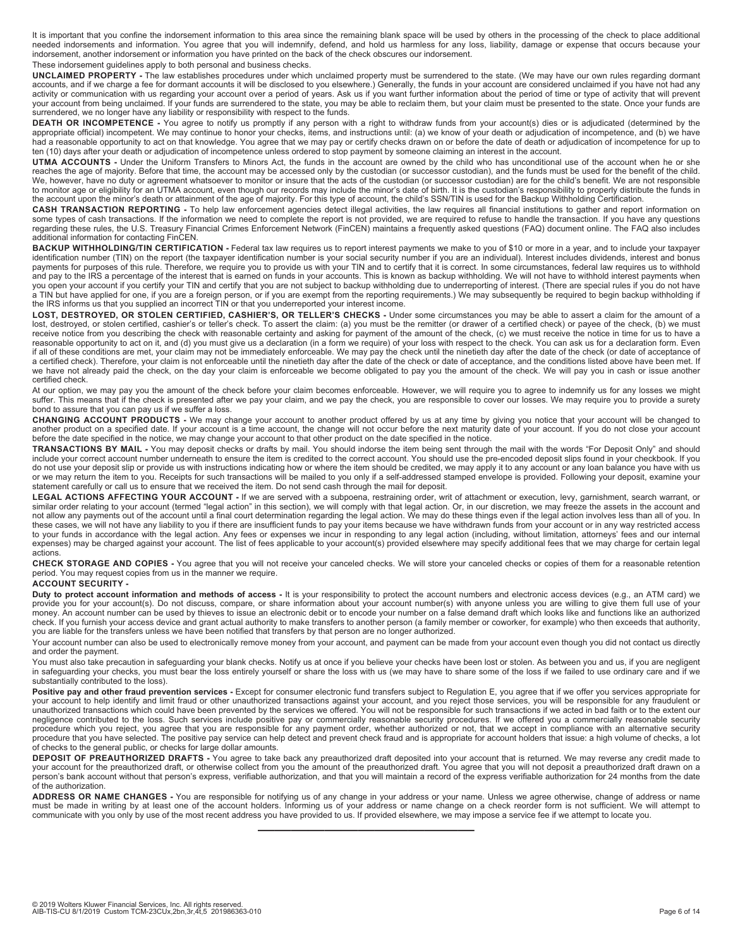It is important that you confine the indorsement information to this area since the remaining blank space will be used by others in the processing of the check to place additional needed indorsements and information. You agree that you will indemnify, defend, and hold us harmless for any loss, liability, damage or expense that occurs because your indorsement, another indorsement or information you have printed on the back of the check obscures our indorsement.

# These indorsement guidelines apply to both personal and business checks.

**UNCLAIMED PROPERTY -** The law establishes procedures under which unclaimed property must be surrendered to the state. (We may have our own rules regarding dormant accounts, and if we charge a fee for dormant accounts it will be disclosed to you elsewhere.) Generally, the funds in your account are considered unclaimed if you have not had any activity or communication with us regarding your account over a period of years. Ask us if you want further information about the period of time or type of activity that will prevent your account from being unclaimed. If your funds are surrendered to the state, you may be able to reclaim them, but your claim must be presented to the state. Once your funds are surrendered, we no longer have any liability or responsibility with respect to the funds.

**DEATH OR INCOMPETENCE** - You agree to notify us promptly if any person with a right to withdraw funds from your account(s) dies or is adjudicated (determined by the appropriate official) incompetent. We may continue to honor your checks, items, and instructions until: (a) we know of your death or adjudication of incompetence, and (b) we have had a reasonable opportunity to act on that knowledge. You agree that we may pay or certify checks drawn on or before the date of death or adjudication of incompetence for up to ten (10) days after your death or adjudication of incompetence unless ordered to stop payment by someone claiming an interest in the account.

**UTMA ACCOUNTS -** Under the Uniform Transfers to Minors Act, the funds in the account are owned by the child who has unconditional use of the account when he or she reaches the age of majority. Before that time, the account may be accessed only by the custodian (or successor custodian), and the funds must be used for the benefit of the child. We, however, have no duty or agreement whatsoever to monitor or insure that the acts of the custodian (or successor custodian) are for the child's benefit. We are not responsible to monitor age or eligibility for an UTMA account, even though our records may include the minor's date of birth. It is the custodian's responsibility to properly distribute the funds in the account upon the minor's death or attainment of the age of majority. For this type of account, the child's SSN/TIN is used for the Backup Withholding Certification.

**CASH TRANSACTION REPORTING** - To help law enforcement agencies detect illegal activities, the law requires all financial institutions to gather and report information on<br>some types of cash transactions. If the information regarding these rules, the U.S. Treasury Financial Crimes Enforcement Network (FinCEN) maintains a frequently asked questions (FAQ) document online. The FAQ also includes additional information for contacting FinCEN.

**BACKUP WITHHOLDING/TIN CERTIFICATION** - Federal tax law requires us to report interest payments we make to you of \$10 or more in a year, and to include your taxpayer identification number (TIN) on the report (the taxpayer identification number is your social security number if you are an individual). Interest includes dividends, interest and bonus payments for purposes of this rule. Therefore, we require you to provide us with your TIN and to certify that it is correct. In some circumstances, federal law requires us to withhold<br>and pay to the IRS a percentage of the a TIN but have applied for one, if you are a foreign person, or if you are exempt from the reporting requirements.) We may subsequently be required to begin backup withholding if<br>the IRS informs us that you supplied an inc

**LOST, DESTROYED, OR STOLEN CERTIFIED, CASHIER'S, OR TELLER'S CHECKS -** Under some circumstances you may be able to assert a claim for the amount of a lost, destroyed, or stolen certified, cashier's or teller's check. To assert the claim: (a) you must be the remitter (or drawer of a certified check) or payee of the check, (b) we must<br>receive notice from you describing th reasonable opportunity to act on it, and (d) you must give us a declaration (in a form we require) of your loss with respect to the check. You can ask us for a declaration form. Even<br>if all of these conditions are met, you a certified check). Therefore, your claim is not enforceable until the ninetieth day after the date of the check or date of acceptance, and the conditions listed above have been met. If we have not already paid the check, on the day your claim is enforceable we become obligated to pay you the amount of the check. We will pay you in cash or issue another certified check.

At our option, we may pay you the amount of the check before your claim becomes enforceable. However, we will require you to agree to indemnify us for any losses we might suffer. This means that if the check is presented after we pay your claim, and we pay the check, you are responsible to cover our losses. We may require you to provide a surety bond to assure that you can pay us if we suffer a loss.

**CHANGING ACCOUNT PRODUCTS** - We may change your account to another product offered by us at any time by giving you notice that your account will be changed to<br>another product on a specified date. If your account is a time before the date specified in the notice, we may change your account to that other product on the date specified in the notice.

**TRANSACTIONS BY MAIL -** You may deposit checks or drafts by mail. You should indorse the item being sent through the mail with the words "For Deposit Only" and should include your correct account number underneath to ensure the item is credited to the correct account. You should use the pre-encoded deposit slips found in your checkbook. If you do not use your deposit slip or provide us with instructions indicating how or where the item should be credited, we may apply it to any account or any loan balance you have with us or we may return the item to you. Receipts for such transactions will be mailed to you only if a self-addressed stamped envelope is provided. Following your deposit, examine your statement carefully or call us to ensure that we received the item. Do not send cash through the mail for deposit.

LEGAL ACTIONS AFFECTING YOUR ACCOUNT - If we are served with a subpoena, restraining order, writ of attachment or execution, levy, garnishment, search warrant, or similar order relating to your account (termed "legal action" in this section), we will comply with that legal action. Or, in our discretion, we may freeze the assets in the account and not allow any payments out of the account until a final court determination regarding the legal action. We may do these things even if the legal action involves less than all of you. In<br>these cases, we will not have any li expenses) may be charged against your account. The list of fees applicable to your account(s) provided elsewhere may specify additional fees that we may charge for certain legal actions.

**CHECK STORAGE AND COPIES -** You agree that you will not receive your canceled checks. We will store your canceled checks or copies of them for a reasonable retention period. You may request copies from us in the manner we require.

# **ACCOUNT SECURITY -**

**Duty to protect account information and methods of access -** It is your responsibility to protect the account numbers and electronic access devices (e.g., an ATM card) we provide you for your account(s). Do not discuss, compare, or share information about your account number(s) with anyone unless you are willing to give them full use of your money. An account number can be used by thieves to issue an electronic debit or to encode your number on a false demand draft which looks like and functions like an authorized check. If you furnish your access device and grant actual authority to make transfers to another person (a family member or coworker, for example) who then exceeds that authority, you are liable for the transfers unless we have been notified that transfers by that person are no longer authorized.

Your account number can also be used to electronically remove money from your account, and payment can be made from your account even though you did not contact us directly and order the payment.

You must also take precaution in safeguarding your blank checks. Notify us at once if you believe your checks have been lost or stolen. As between you and us, if you are negligent in safeguarding your checks, you must bear the loss entirely yourself or share the loss with us (we may have to share some of the loss if we failed to use ordinary care and if we substantially contributed to the loss).

Positive pay and other fraud prevention services - Except for consumer electronic fund transfers subject to Regulation E, you agree that if we offer you services appropriate for your account to help identify and limit fraud or other unauthorized transactions against your account, and you reject those services, you will be responsible for any fraudulent or<br>unauthorized transactions which could have negligence contributed to the loss. Such services include positive pay or commercially reasonable security procedures. If we offered you a commercially reasonable security procedure which you reject, you agree that you are responsible for any payment order, whether authorized or not, that we accept in compliance with an alternative security<br>procedure that you have selected. The positive pay of checks to the general public, or checks for large dollar amounts.

**DEPOSIT OF PREAUTHORIZED DRAFTS -** You agree to take back any preauthorized draft deposited into your account that is returned. We may reverse any credit made to your account for the preauthorized draft, or otherwise collect from you the amount of the preauthorized draft. You agree that you will not deposit a preauthorized draft drawn on a person's bank account without that person's express, verifiable authorization, and that you will maintain a record of the express verifiable authorization for 24 months from the date of the authorization.

**ADDRESS OR NAME CHANGES -** You are responsible for notifying us of any change in your address or your name. Unless we agree otherwise, change of address or name must be made in writing by at least one of the account holders. Informing us of your address or name change on a check reorder form is not sufficient. We will attempt to communicate with you only by use of the most recent address you have provided to us. If provided elsewhere, we may impose a service fee if we attempt to locate you.

—————————————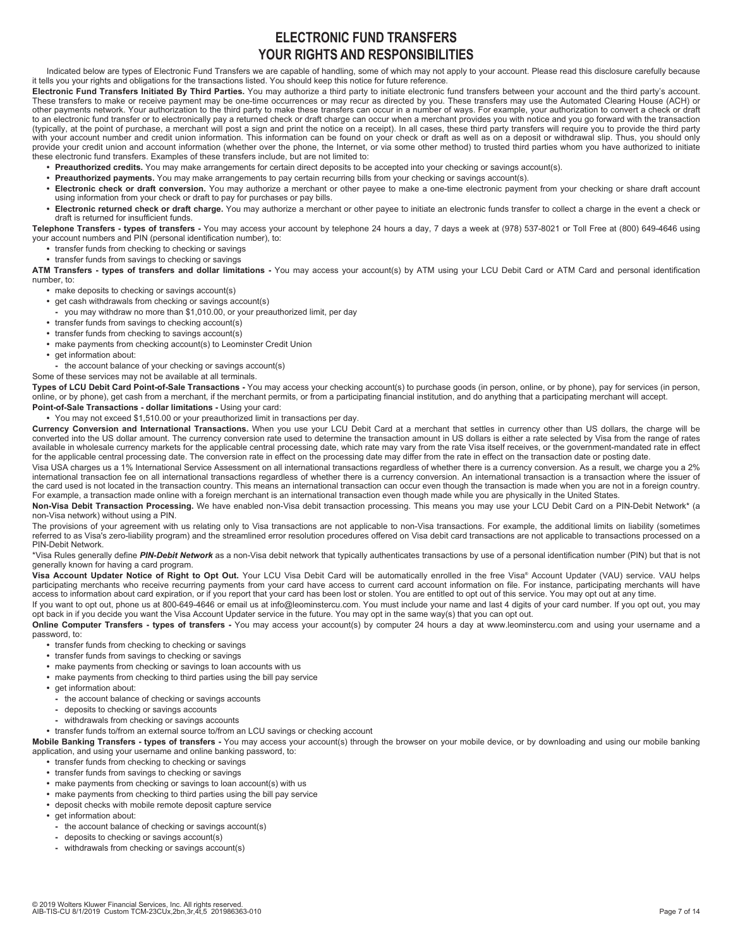# **ELECTRONIC FUND TRANSFERS YOUR RIGHTS AND RESPONSIBILITIES**

Indicated below are types of Electronic Fund Transfers we are capable of handling, some of which may not apply to your account. Please read this disclosure carefully because it tells you your rights and obligations for the transactions listed. You should keep this notice for future reference.

**Electronic Fund Transfers Initiated By Third Parties.** You may authorize a third party to initiate electronic fund transfers between your account and the third party's account. These transfers to make or receive payment may be one-time occurrences or may recur as directed by you. These transfers may use the Automated Clearing House (ACH) or other payments network. Your authorization to the third party to make these transfers can occur in a number of ways. For example, your authorization to convert a check or draft to an electronic fund transfer or to electronically pay a returned check or draft charge can occur when a merchant provides you with notice and you go forward with the transaction (typically, at the point of purchase, a merchant will post a sign and print the notice on a receipt). In all cases, these third party transfers will require you to provide the third party with your account number and credit union information. This information can be found on your check or draft as well as on a deposit or withdrawal slip. Thus, you should only provide your credit union and account information (whether over the phone, the Internet, or via some other method) to trusted third parties whom you have authorized to initiate these electronic fund transfers. Examples of these transfers include, but are not limited to:

- **Preauthorized credits.** You may make arrangements for certain direct deposits to be accepted into your checking or savings account(s).
- **Preauthorized payments.** You may make arrangements to pay certain recurring bills from your checking or savings account(s).
- **Electronic check or draft conversion.** You may authorize a merchant or other payee to make a one-time electronic payment from your checking or share draft account using information from your check or draft to pay for purchases or pay bills.
- **Electronic returned check or draft charge.** You may authorize a merchant or other payee to initiate an electronic funds transfer to collect a charge in the event a check or draft is returned for insufficient funds.

**Telephone Transfers - types of transfers -** You may access your account by telephone 24 hours a day, 7 days a week at (978) 537-8021 or Toll Free at (800) 649-4646 using your account numbers and PIN (personal identification number), to:

- **•** transfer funds from checking to checking or savings
- **•** transfer funds from savings to checking or savings

**ATM Transfers - types of transfers and dollar limitations -** You may access your account(s) by ATM using your LCU Debit Card or ATM Card and personal identification number, to:

- **•** make deposits to checking or savings account(s)
- **•** get cash withdrawals from checking or savings account(s)
- **-** you may withdraw no more than \$1,010.00, or your preauthorized limit, per day
- **•** transfer funds from savings to checking account(s)
- **•** transfer funds from checking to savings account(s)
- **•** make payments from checking account(s) to Leominster Credit Union
- get information about:
- **-** the account balance of your checking or savings account(s)

Some of these services may not be available at all terminals.

**Types of LCU Debit Card Point-of-Sale Transactions -** You may access your checking account(s) to purchase goods (in person, online, or by phone), pay for services (in person,<br>online, or by phone), get cash from a merchant **Point-of-Sale Transactions - dollar limitations -** Using your card:

**•** You may not exceed \$1,510.00 or your preauthorized limit in transactions per day.

**Currency Conversion and International Transactions.** When you use your LCU Debit Card at a merchant that settles in currency other than US dollars, the charge will be

converted into the US dollar amount. The currency conversion rate used to determine the transaction amount in US dollars is either a rate selected by Visa from the range of rates available in wholesale currency markets for the applicable central processing date, which rate may vary from the rate Visa itself receives, or the government-mandated rate in effect for the applicable central processing date. The conversion rate in effect on the processing date may differ from the rate in effect on the transaction date or posting date.

Visa USA charges us a 1% International Service Assessment on all international transactions regardless of whether there is a currency conversion. As a result, we charge you a 2% international transaction fee on all international transactions regardless of whether there is a currency conversion. An international transaction is a transaction where the issuer of the card used is not located in the transaction country. This means an international transaction can occur even though the transaction is made when you are not in a foreign country. For example, a transaction made online with a foreign merchant is an international transaction even though made while you are physically in the United States.

**Non-Visa Debit Transaction Processing.** We have enabled non-Visa debit transaction processing. This means you may use your LCU Debit Card on a PIN-Debit Network\* (a non-Visa network) without using a PIN.

The provisions of your agreement with us relating only to Visa transactions are not applicable to non-Visa transactions. For example, the additional limits on liability (sometimes referred to as Visa's zero-liability program) and the streamlined error resolution procedures offered on Visa debit card transactions are not applicable to transactions processed on a PIN-Debit Network.

\*Visa Rules generally define *PIN-Debit Network* as a non-Visa debit network that typically authenticates transactions by use of a personal identification number (PIN) but that is not generally known for having a card program.

**Visa Account Updater Notice of Right to Opt Out.** Your LCU Visa Debit Card will be automatically enrolled in the free Visa® Account Updater (VAU) service. VAU helps participating merchants who receive recurring payments from your card have access to current card account information on file. For instance, participating merchants will have<br>access to information about card expiration, or

If you want to opt out, phone us at 800-649-4646 or email us at info@leominstercu.com. You must include your name and last 4 digits of your card number. If you opt out, you may opt back in if you decide you want the Visa Account Updater service in the future. You may opt in the same way(s) that you can opt out.

**Online Computer Transfers - types of transfers -** You may access your account(s) by computer 24 hours a day at www.leominstercu.com and using your username and a password, to:

- **•** transfer funds from checking to checking or savings
- **•** transfer funds from savings to checking or savings
- **•** make payments from checking or savings to loan accounts with us
- make payments from checking to third parties using the bill pay service
- **•** get information about:
	- **-** the account balance of checking or savings accounts
	- **-** deposits to checking or savings accounts
	- **-** withdrawals from checking or savings accounts

### **•** transfer funds to/from an external source to/from an LCU savings or checking account

**Mobile Banking Transfers - types of transfers -** You may access your account(s) through the browser on your mobile device, or by downloading and using our mobile banking application, and using your username and online banking password, to:

- **•** transfer funds from checking to checking or savings
- **•** transfer funds from savings to checking or savings
- **•** make payments from checking or savings to loan account(s) with us
- **•** make payments from checking to third parties using the bill pay service
- **•** deposit checks with mobile remote deposit capture service
- **•** get information about:
- **-** the account balance of checking or savings account(s)
- **-** deposits to checking or savings account(s)
- **-** withdrawals from checking or savings account(s)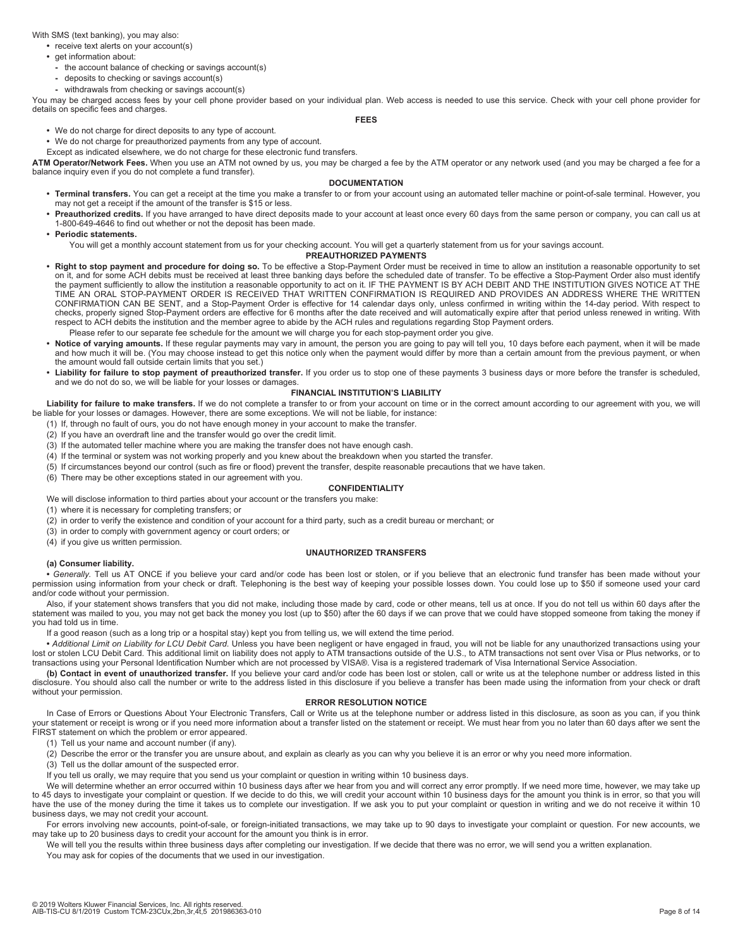With SMS (text banking), you may also:

- **•** receive text alerts on your account(s)
- get information about:
- **-** the account balance of checking or savings account(s)
- **-** deposits to checking or savings account(s)
- **-** withdrawals from checking or savings account(s)

You may be charged access fees by your cell phone provider based on your individual plan. Web access is needed to use this service. Check with your cell phone provider for details on specific fees and charges.

# **FEES**

### **•** We do not charge for direct deposits to any type of account.

**•** We do not charge for preauthorized payments from any type of account.

Except as indicated elsewhere, we do not charge for these electronic fund transfers.

**ATM Operator/Network Fees.** When you use an ATM not owned by us, you may be charged a fee by the ATM operator or any network used (and you may be charged a fee for a balance inquiry even if you do not complete a fund transfer).

# **DOCUMENTATION**

- **Terminal transfers.** You can get a receipt at the time you make a transfer to or from your account using an automated teller machine or point-of-sale terminal. However, you may not get a receipt if the amount of the transfer is \$15 or less.
- **Preauthorized credits.** If you have arranged to have direct deposits made to your account at least once every 60 days from the same person or company, you can call us at 1-800-649-4646 to find out whether or not the deposit has been made.
- **Periodic statements.**

You will get a monthly account statement from us for your checking account. You will get a quarterly statement from us for your savings account.

### **PREAUTHORIZED PAYMENTS**

- **Right to stop payment and procedure for doing so.** To be effective a Stop-Payment Order must be received in time to allow an institution a reasonable opportunity to set on it, and for some ACH debits must be received at least three banking days before the scheduled date of transfer. To be effective a Stop-Payment Order also must identify the payment sufficiently to allow the institution a reasonable opportunity to act on it. IF THE PAYMENT IS BY ACH DEBIT AND THE INSTITUTION GIVES NOTICE AT THE TIME AN ORAL STOP-PAYMENT ORDER IS RECEIVED THAT WRITTEN CONFIRMATION IS REQUIRED AND PROVIDES AN ADDRESS WHERE THE WRITTEN CONFIRMATION CAN BE SENT, and a Stop-Payment Order is effective for 14 calendar days only, unless confirmed in writing within the 14-day period. With respect to checks, properly signed Stop-Payment orders are effective for 6 months after the date received and will automatically expire after that period unless renewed in writing. With respect to ACH debits the institution and the member agree to abide by the ACH rules and regulations regarding Stop Payment orders.
- Please refer to our separate fee schedule for the amount we will charge you for each stop-payment order you give.
- **Notice of varying amounts.** If these regular payments may vary in amount, the person you are going to pay will tell you, 10 days before each payment, when it will be made and how much it will be. (You may choose instead to get this notice only when the payment would differ by more than a certain amount from the previous payment, or when the amount would fall outside certain limits that you set.)
- **Liability for failure to stop payment of preauthorized transfer.** If you order us to stop one of these payments 3 business days or more before the transfer is scheduled, and we do not do so, we will be liable for your losses or damages.

## **FINANCIAL INSTITUTION'S LIABILITY**

Liability for failure to make transfers. If we do not complete a transfer to or from your account on time or in the correct amount according to our agreement with you, we will be liable for your losses or damages. However, there are some exceptions. We will not be liable, for instance:

- (1) If, through no fault of ours, you do not have enough money in your account to make the transfer.
- (2) If you have an overdraft line and the transfer would go over the credit limit.
- (3) If the automated teller machine where you are making the transfer does not have enough cash.
- (4) If the terminal or system was not working properly and you knew about the breakdown when you started the transfer.
- (5) If circumstances beyond our control (such as fire or flood) prevent the transfer, despite reasonable precautions that we have taken.
- (6) There may be other exceptions stated in our agreement with you.

# **CONFIDENTIALITY**

We will disclose information to third parties about your account or the transfers you make:

- (1) where it is necessary for completing transfers; or (2) in order to verify the existence and condition of your account for a third party, such as a credit bureau or merchant; or
- (3) in order to comply with government agency or court orders; or

(4) if you give us written permission.

#### **UNAUTHORIZED TRANSFERS**

#### **(a) Consumer liability.**

**•** *Generally.* Tell us AT ONCE if you believe your card and/or code has been lost or stolen, or if you believe that an electronic fund transfer has been made without your permission using information from your check or draft. Telephoning is the best way of keeping your possible losses down. You could lose up to \$50 if someone used your card and/or code without your permission.

Also, if your statement shows transfers that you did not make, including those made by card, code or other means, tell us at once. If you do not tell us within 60 days after the statement was mailed to you, you may not get back the money you lost (up to \$50) after the 60 days if we can prove that we could have stopped someone from taking the money if you had told us in time.

If a good reason (such as a long trip or a hospital stay) kept you from telling us, we will extend the time period.

**•** *Additional Limit on Liability for LCU Debit Card.* Unless you have been negligent or have engaged in fraud, you will not be liable for any unauthorized transactions using your lost or stolen LCU Debit Card. This additional limit on liability does not apply to ATM transactions outside of the U.S., to ATM transactions not sent over Visa or Plus networks, or to transactions using your Personal Identification Number which are not processed by VISA®. Visa is a registered trademark of Visa International Service Association.

**(b) Contact in event of unauthorized transfer.** If you believe your card and/or code has been lost or stolen, call or write us at the telephone number or address listed in this disclosure. You should also call the number or write to the address listed in this disclosure if you believe a transfer has been made using the information from your check or draft without your permission.

# **ERROR RESOLUTION NOTICE**

In Case of Errors or Questions About Your Electronic Transfers, Call or Write us at the telephone number or address listed in this disclosure, as soon as you can, if you think your statement or receipt is wrong or if you need more information about a transfer listed on the statement or receipt. We must hear from you no later than 60 days after we sent the FIRST statement on which the problem or error appeared.

(1) Tell us your name and account number (if any).

(2) Describe the error or the transfer you are unsure about, and explain as clearly as you can why you believe it is an error or why you need more information.

(3) Tell us the dollar amount of the suspected error.

If you tell us orally, we may require that you send us your complaint or question in writing within 10 business days.

We will determine whether an error occurred within 10 business days after we hear from you and will correct any error promptly. If we need more time, however, we may take up to 45 days to investigate your complaint or question. If we decide to do this, we will credit your account within 10 business days for the amount you think is in error, so that you will have the use of the money during the time it takes us to complete our investigation. If we ask you to put your complaint or question in writing and we do not receive it within 10 business days, we may not credit your account.

For errors involving new accounts, point-of-sale, or foreign-initiated transactions, we may take up to 90 days to investigate your complaint or question. For new accounts, we may take up to 20 business days to credit your account for the amount you think is in error.

We will tell you the results within three business days after completing our investigation. If we decide that there was no error, we will send you a written explanation.

You may ask for copies of the documents that we used in our investigation.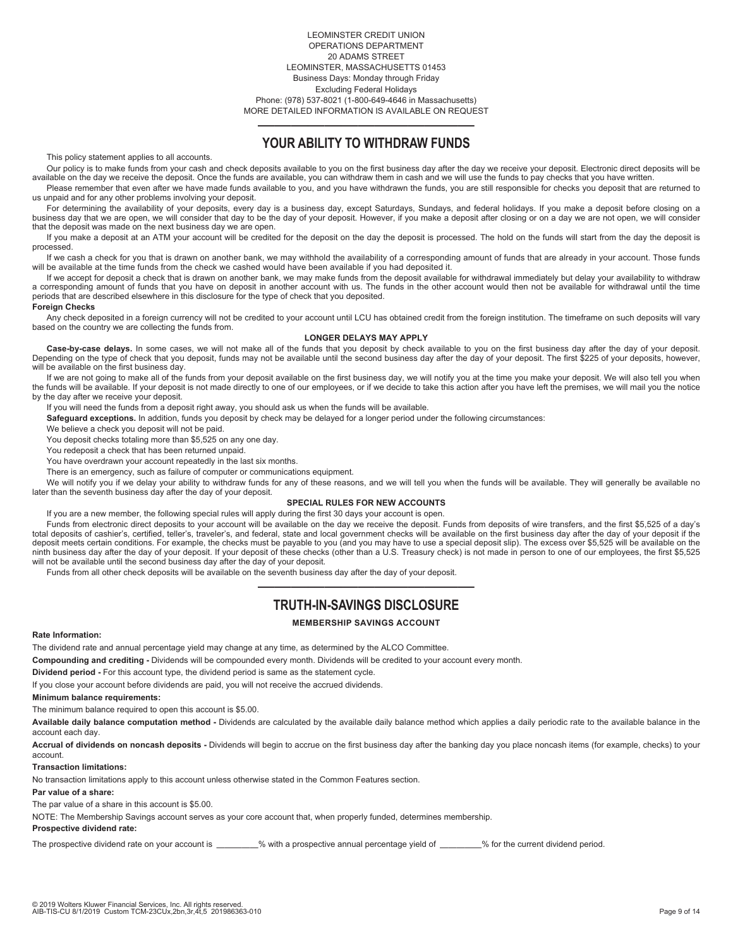LEOMINSTER CREDIT UNION OPERATIONS DEPARTMENT 20 ADAMS STREET LEOMINSTER, MASSACHUSETTS 01453 Business Days: Monday through Friday Excluding Federal Holidays Phone: (978) 537-8021 (1-800-649-4646 in Massachusetts) MORE DETAILED INFORMATION IS AVAILABLE ON REQUEST

# ————————————— **YOUR ABILITY TO WITHDRAW FUNDS**

This policy statement applies to all accounts.

Our policy is to make funds from your cash and check deposits available to you on the first business day after the day we receive your deposit. Electronic direct deposits will be available on the day we receive the deposit. Once the funds are available, you can withdraw them in cash and we will use the funds to pay checks that you have written.

Please remember that even after we have made funds available to you, and you have withdrawn the funds, you are still responsible for checks you deposit that are returned to us unpaid and for any other problems involving your deposit.

For determining the availability of your deposits, every day is a business day, except Saturdays, Sundays, and federal holidays. If you make a deposit before closing on a business day that we are open, we will consider that day to be the day of your deposit. However, if you make a deposit after closing or on a day we are not open, we will consider that the deposit was made on the next business day we are open.

If you make a deposit at an ATM your account will be credited for the deposit on the day the deposit is processed. The hold on the funds will start from the day the deposit is processed.

If we cash a check for you that is drawn on another bank, we may withhold the availability of a corresponding amount of funds that are already in your account. Those funds will be available at the time funds from the check we cashed would have been available if you had deposited it.

If we accept for deposit a check that is drawn on another bank, we may make funds from the deposit available for withdrawal immediately but delay your availability to withdraw a corresponding amount of funds that you have on deposit in another account with us. The funds in the other account would then not be available for withdrawal until the time periods that are described elsewhere in this disclosure for the type of check that you deposited.

### **Foreign Checks**

Any check deposited in a foreign currency will not be credited to your account until LCU has obtained credit from the foreign institution. The timeframe on such deposits will vary based on the country we are collecting the funds from.

### **LONGER DELAYS MAY APPLY**

Case-by-case delays. In some cases, we will not make all of the funds that you deposit by check available to you on the first business day after the day of your deposit. The first \$225 of your deposits, however, Depending will be available on the first business day.

If we are not going to make all of the funds from your deposit available on the first business day, we will notify you at the time you make your deposit. We will also tell you when the funds will be available. If your deposit is not made directly to one of our employees, or if we decide to take this action after you have left the premises, we will mail you the notice by the day after we receive your deposit.

If you will need the funds from a deposit right away, you should ask us when the funds will be available.

**Safeguard exceptions.** In addition, funds you deposit by check may be delayed for a longer period under the following circumstances:

We believe a check you deposit will not be paid.

You deposit checks totaling more than \$5,525 on any one day.

You redeposit a check that has been returned unpaid.

You have overdrawn your account repeatedly in the last six months.

There is an emergency, such as failure of computer or communications equipment.

We will notify you if we delay your ability to withdraw funds for any of these reasons, and we will tell you when the funds will be available. They will generally be available no later than the seventh business day after the day of your deposit.

# **SPECIAL RULES FOR NEW ACCOUNTS**

If you are a new member, the following special rules will apply during the first 30 days your account is open.

Funds from electronic direct deposits to your account will be available on the day we receive the deposit. Funds from deposits of wire transfers, and the first \$5,525 of a day's total deposits of cashier's, certified, teller's, traveler's, and federal, state and local government checks will be available on the first business day after the day of your deposit if the deposit meets certain conditions. For example, the checks must be payable to you (and you may have to use a special deposit slip). The excess over \$5,525 will be available on the ninth business day after the day of your deposit. If your deposit of these checks (other than a U.S. Treasury check) is not made in person to one of our employees, the first \$5,525 will not be available until the second business day after the day of your deposit.

Funds from all other check deposits will be available on the seventh business day after the day of your deposit.

# ————————————— **TRUTH-IN-SAVINGS DISCLOSURE**

# **MEMBERSHIP SAVINGS ACCOUNT**

#### **Rate Information:**

The dividend rate and annual percentage yield may change at any time, as determined by the ALCO Committee.

**Compounding and crediting -** Dividends will be compounded every month. Dividends will be credited to your account every month.

**Dividend period -** For this account type, the dividend period is same as the statement cycle.

If you close your account before dividends are paid, you will not receive the accrued dividends.

**Minimum balance requirements:**

The minimum balance required to open this account is \$5.00.

**Available daily balance computation method -** Dividends are calculated by the available daily balance method which applies a daily periodic rate to the available balance in the account each day.

**Accrual of dividends on noncash deposits -** Dividends will begin to accrue on the first business day after the banking day you place noncash items (for example, checks) to your account.

## **Transaction limitations:**

No transaction limitations apply to this account unless otherwise stated in the Common Features section.

### **Par value of a share:**

The par value of a share in this account is \$5.00.

NOTE: The Membership Savings account serves as your core account that, when properly funded, determines membership.

# **Prospective dividend rate:**

The prospective dividend rate on your account is \_\_\_\_\_\_\_\_% with a prospective annual percentage yield of \_\_\_\_\_\_\_\_% for the current dividend period.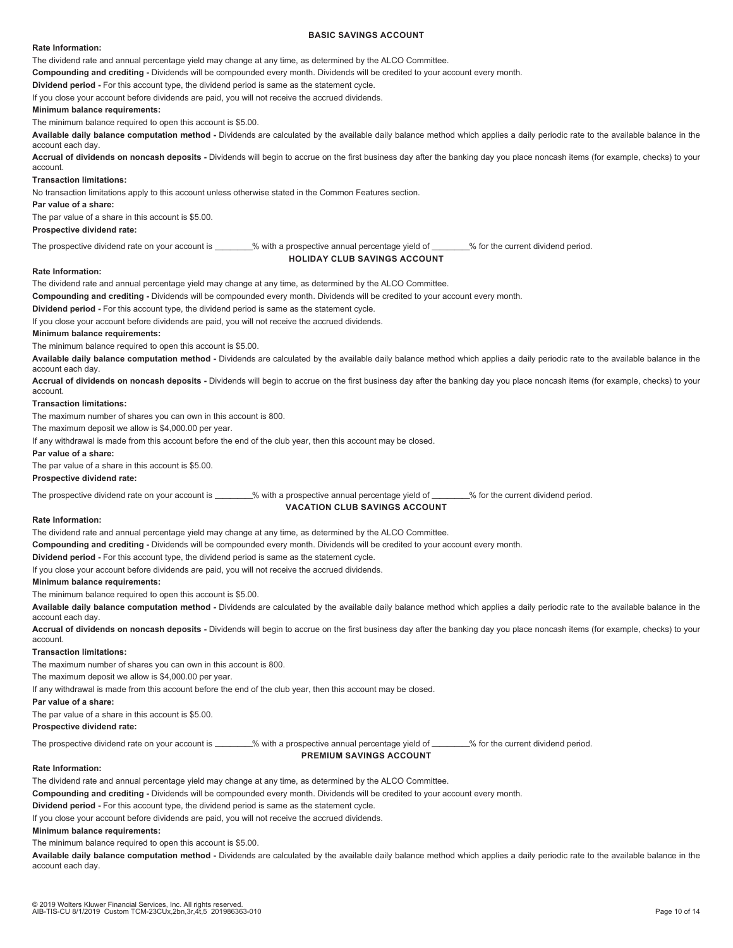### **BASIC SAVINGS ACCOUNT**

### **Rate Information:**

The dividend rate and annual percentage yield may change at any time, as determined by the ALCO Committee.

**Compounding and crediting -** Dividends will be compounded every month. Dividends will be credited to your account every month.

**Dividend period -** For this account type, the dividend period is same as the statement cycle.

If you close your account before dividends are paid, you will not receive the accrued dividends.

# **Minimum balance requirements:**

The minimum balance required to open this account is \$5.00.

**Available daily balance computation method -** Dividends are calculated by the available daily balance method which applies a daily periodic rate to the available balance in the account each day.

**Accrual of dividends on noncash deposits -** Dividends will begin to accrue on the first business day after the banking day you place noncash items (for example, checks) to your account.

### **Transaction limitations:**

No transaction limitations apply to this account unless otherwise stated in the Common Features section.

# **Par value of a share:**

The par value of a share in this account is \$5.00.

# **Prospective dividend rate:**

The prospective dividend rate on your account is \_\_\_\_\_\_\_% with a prospective annual percentage yield of \_\_\_\_\_\_\_% for the current dividend period.

### **HOLIDAY CLUB SAVINGS ACCOUNT**

#### **Rate Information:**

The dividend rate and annual percentage yield may change at any time, as determined by the ALCO Committee.

**Compounding and crediting -** Dividends will be compounded every month. Dividends will be credited to your account every month.

**Dividend period -** For this account type, the dividend period is same as the statement cycle.

If you close your account before dividends are paid, you will not receive the accrued dividends.

# **Minimum balance requirements:**

The minimum balance required to open this account is \$5.00.

**Available daily balance computation method -** Dividends are calculated by the available daily balance method which applies a daily periodic rate to the available balance in the account each day.

**Accrual of dividends on noncash deposits -** Dividends will begin to accrue on the first business day after the banking day you place noncash items (for example, checks) to your account.

#### **Transaction limitations:**

The maximum number of shares you can own in this account is 800.

The maximum deposit we allow is \$4,000.00 per year.

If any withdrawal is made from this account before the end of the club year, then this account may be closed.

#### **Par value of a share:**

The par value of a share in this account is \$5.00.

### **Prospective dividend rate:**

The prospective dividend rate on your account is \_\_\_\_\_\_\_% with a prospective annual percentage yield of \_\_\_\_\_\_\_% for the current dividend period.

# **VACATION CLUB SAVINGS ACCOUNT**

#### **Rate Information:**

The dividend rate and annual percentage yield may change at any time, as determined by the ALCO Committee.

**Compounding and crediting -** Dividends will be compounded every month. Dividends will be credited to your account every month.

**Dividend period -** For this account type, the dividend period is same as the statement cycle.

If you close your account before dividends are paid, you will not receive the accrued dividends.

### **Minimum balance requirements:**

The minimum balance required to open this account is \$5.00.

**Available daily balance computation method -** Dividends are calculated by the available daily balance method which applies a daily periodic rate to the available balance in the account each day.

**Accrual of dividends on noncash deposits -** Dividends will begin to accrue on the first business day after the banking day you place noncash items (for example, checks) to your account.

### **Transaction limitations:**

The maximum number of shares you can own in this account is 800.

The maximum deposit we allow is \$4,000.00 per year.

If any withdrawal is made from this account before the end of the club year, then this account may be closed.

### **Par value of a share:**

The par value of a share in this account is \$5.00.

# **Prospective dividend rate:**

The prospective dividend rate on your account is \_\_\_\_\_\_\_\_% with a prospective annual percentage yield of \_\_\_\_\_\_\_\_% for the current dividend period.

# **PREMIUM SAVINGS ACCOUNT**

# **Rate Information:**

The dividend rate and annual percentage yield may change at any time, as determined by the ALCO Committee.

**Compounding and crediting -** Dividends will be compounded every month. Dividends will be credited to your account every month.

**Dividend period -** For this account type, the dividend period is same as the statement cycle.

If you close your account before dividends are paid, you will not receive the accrued dividends.

# **Minimum balance requirements:**

The minimum balance required to open this account is \$5.00.

**Available daily balance computation method -** Dividends are calculated by the available daily balance method which applies a daily periodic rate to the available balance in the account each day.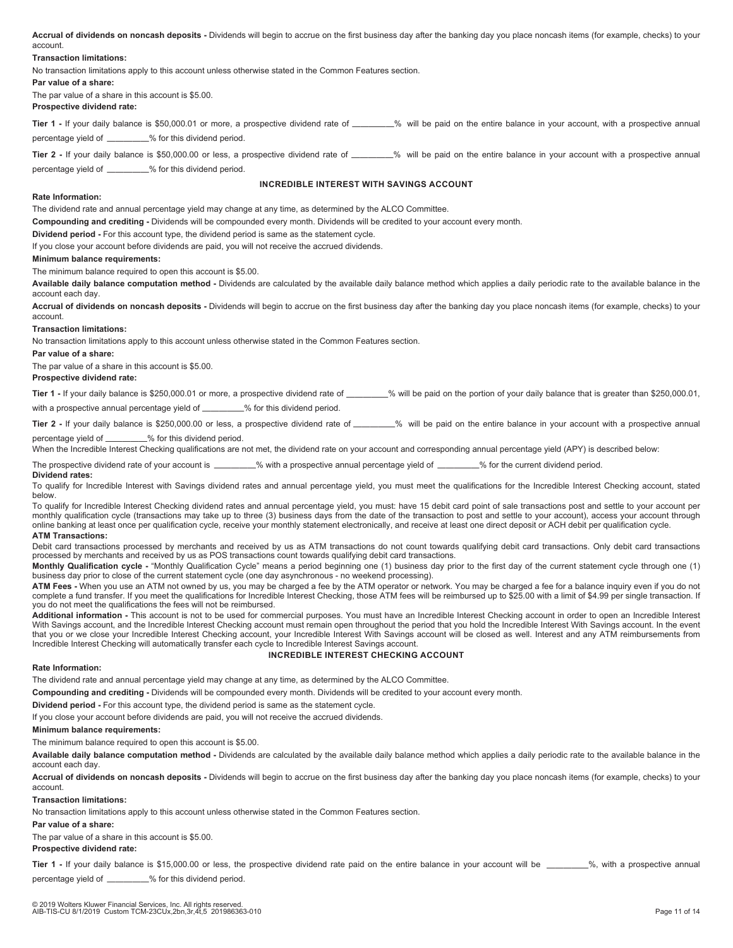**Accrual of dividends on noncash deposits -** Dividends will begin to accrue on the first business day after the banking day you place noncash items (for example, checks) to your account.

### **Transaction limitations:**

No transaction limitations apply to this account unless otherwise stated in the Common Features section.

### **Par value of a share:**

The par value of a share in this account is \$5.00. **Prospective dividend rate:** 

Tier 1 - If your daily balance is \$50,000.01 or more, a prospective dividend rate of \_\_\_\_\_\_\_% will be paid on the entire balance in your account, with a prospective annual percentage yield of \_\_\_\_\_\_\_\_% for this dividend period.

Tier 2 - If your daily balance is \$50,000.00 or less, a prospective dividend rate of \_\_\_\_\_\_\_% will be paid on the entire balance in your account with a prospective annual percentage yield of \_\_\_\_\_\_\_\_\_% for this dividend period.

# **INCREDIBLE INTEREST WITH SAVINGS ACCOUNT**

### **Rate Information:**

The dividend rate and annual percentage yield may change at any time, as determined by the ALCO Committee.

**Compounding and crediting -** Dividends will be compounded every month. Dividends will be credited to your account every month.

**Dividend period -** For this account type, the dividend period is same as the statement cycle.

If you close your account before dividends are paid, you will not receive the accrued dividends.

#### **Minimum balance requirements:**

The minimum balance required to open this account is \$5.00.

**Available daily balance computation method -** Dividends are calculated by the available daily balance method which applies a daily periodic rate to the available balance in the account each day.

**Accrual of dividends on noncash deposits -** Dividends will begin to accrue on the first business day after the banking day you place noncash items (for example, checks) to your account.

### **Transaction limitations:**

No transaction limitations apply to this account unless otherwise stated in the Common Features section.

**Par value of a share:**

The par value of a share in this account is \$5.00.

#### **Prospective dividend rate:**

Tier 1 - If your daily balance is \$250,000.01 or more, a prospective dividend rate of \_\_\_\_\_\_\_% will be paid on the portion of your daily balance that is greater than \$250,000.01, with a prospective annual percentage yield of \_\_\_\_\_\_\_\_% for this dividend period.

**Tier 2** - If your daily balance is \$250,000.00 or less, a prospective dividend rate of \_\_\_\_\_\_% will be paid on the entire balance in your account with a prospective annual

percentage yield of \_\_\_\_\_\_\_\_\_% for this dividend period.

When the Incredible Interest Checking qualifications are not met, the dividend rate on your account and corresponding annual percentage yield (APY) is described below:

The prospective dividend rate of your account is \_\_\_\_\_\_\_\_% with a prospective annual percentage yield of \_\_\_\_\_\_\_% for the current dividend period.

#### **Dividend rates:**

To qualify for Incredible Interest with Savings dividend rates and annual percentage yield, you must meet the qualifications for the Incredible Interest Checking account, stated below.

To qualify for Incredible Interest Checking dividend rates and annual percentage yield, you must: have 15 debit card point of sale transactions post and settle to your account per monthly qualification cycle (transactions may take up to three (3) business days from the date of the transaction to post and settle to your account), access your account through online banking at least once per qualification cycle, receive your monthly statement electronically, and receive at least one direct deposit or ACH debit per qualification cycle. **ATM Transactions:** 

Debit card transactions processed by merchants and received by us as ATM transactions do not count towards qualifying debit card transactions. Only debit card transactions processed by merchants and received by us as POS transactions count towards qualifying debit card transactions.

**Monthly Qualification cycle -** "Monthly Qualification Cycle" means a period beginning one (1) business day prior to the first day of the current statement cycle through one (1) business day prior to close of the current statement cycle (one day asynchronous - no weekend processing).

**ATM Fees -** When you use an ATM not owned by us, you may be charged a fee by the ATM operator or network. You may be charged a fee for a balance inquiry even if you do not complete a fund transfer. If you meet the qualifications for Incredible Interest Checking, those ATM fees will be reimbursed up to \$25.00 with a limit of \$4.99 per single transaction. If you do not meet the qualifications the fees will not be reimbursed.

**Additional information -** This account is not to be used for commercial purposes. You must have an Incredible Interest Checking account in order to open an Incredible Interest With Savings account, and the Incredible Interest Checking account must remain open throughout the period that you hold the Incredible Interest With Savings account. In the event that you or we close your Incredible Interest Checking account, your Incredible Interest With Savings account will be closed as well. Interest and any ATM reimbursements from Incredible Interest Checking will automatically transfer each cycle to Incredible Interest Savings account.

# **INCREDIBLE INTEREST CHECKING ACCOUNT**

# **Rate Information:**

The dividend rate and annual percentage yield may change at any time, as determined by the ALCO Committee.

**Compounding and crediting -** Dividends will be compounded every month. Dividends will be credited to your account every month.

**Dividend period -** For this account type, the dividend period is same as the statement cycle.

If you close your account before dividends are paid, you will not receive the accrued dividends.

**Minimum balance requirements:**

The minimum balance required to open this account is \$5.00.

**Available daily balance computation method -** Dividends are calculated by the available daily balance method which applies a daily periodic rate to the available balance in the account each day.

**Accrual of dividends on noncash deposits -** Dividends will begin to accrue on the first business day after the banking day you place noncash items (for example, checks) to your account.

**Transaction limitations:**

No transaction limitations apply to this account unless otherwise stated in the Common Features section.

**Par value of a share:**

The par value of a share in this account is \$5.00.

# **Prospective dividend rate:**

**Tier 1** - If your daily balance is \$15,000.00 or less, the prospective dividend rate paid on the entire balance in your account will be \_\_\_\_\_\_\_%, with a prospective annual percentage yield of \_\_\_\_\_\_\_\_\_% for this dividend period.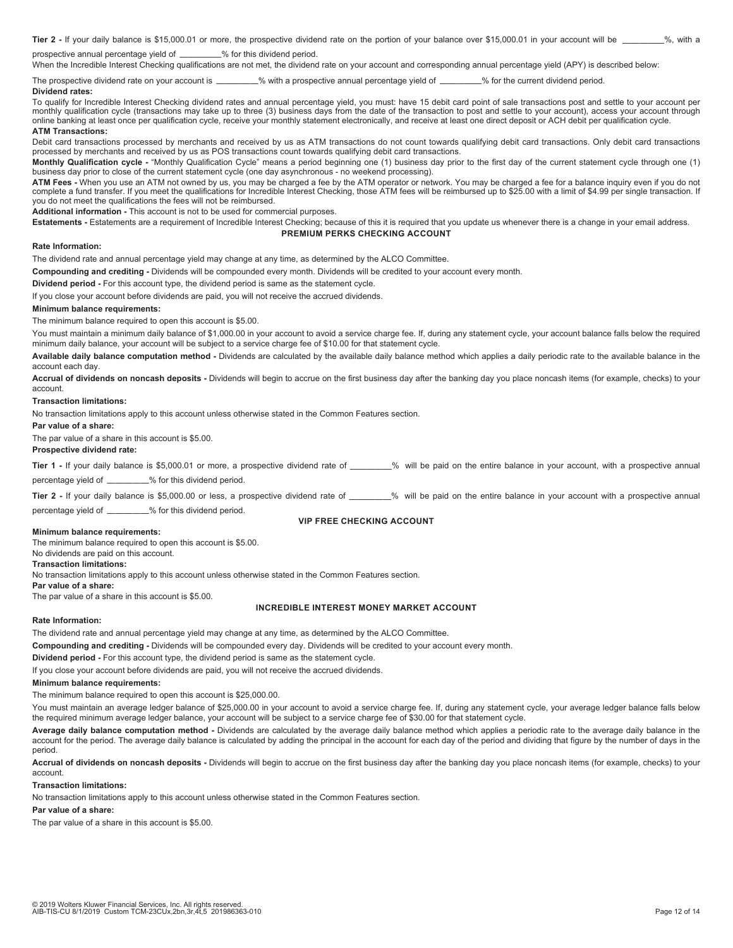Tier 2 - If your daily balance is \$15,000.01 or more, the prospective dividend rate on the portion of your balance over \$15,000.01 in your account will be \_\_\_\_\_\_\_%, with a prospective annual percentage yield of \_\_\_\_\_\_\_\_% for this dividend period.

When the Incredible Interest Checking qualifications are not met, the dividend rate on your account and corresponding annual percentage yield (APY) is described below:

The prospective dividend rate on your account is \_\_\_\_\_\_\_\_% with a prospective annual percentage yield of \_\_\_\_\_\_\_% for the current dividend period. **Dividend rates:** 

To qualify for Incredible Interest Checking dividend rates and annual percentage yield, you must: have 15 debit card point of sale transactions post and settle to your account per monthly qualification cycle (transactions may take up to three (3) business days from the date of the transaction to post and settle to your account), access your account through monthly qualification cycle (transactions m online banking at least once per qualification cycle, receive your monthly statement electronically, and receive at least one direct deposit or ACH debit per qualification cycle.

### **ATM Transactions:**

Debit card transactions processed by merchants and received by us as ATM transactions do not count towards qualifying debit card transactions. Only debit card transactions processed by merchants and received by us as POS transactions count towards qualifying debit card transactions.

**Monthly Qualification cycle -** "Monthly Qualification Cycle" means a period beginning one (1) business day prior to the first day of the current statement cycle through one (1) business day prior to close of the current statement cycle (one day asynchronous - no weekend processing).

**ATM Fees -** When you use an ATM not owned by us, you may be charged a fee by the ATM operator or network. You may be charged a fee for a balance inquiry even if you do not complete a fund transfer. If you meet the qualifications for Incredible Interest Checking, those ATM fees will be reimbursed up to \$25.00 with a limit of \$4.99 per single transaction. If you do not meet the qualifications the fees will not be reimbursed.

**Additional information -** This account is not to be used for commercial purposes.

**Estatements -** Estatements are a requirement of Incredible Interest Checking; because of this it is required that you update us whenever there is a change in your email address. **PREMIUM PERKS CHECKING ACCOUNT** 

### **Rate Information:**

The dividend rate and annual percentage yield may change at any time, as determined by the ALCO Committee.

**Compounding and crediting -** Dividends will be compounded every month. Dividends will be credited to your account every month.

**Dividend period -** For this account type, the dividend period is same as the statement cycle.

If you close your account before dividends are paid, you will not receive the accrued dividends.

# **Minimum balance requirements:**

The minimum balance required to open this account is \$5.00.

You must maintain a minimum daily balance of \$1,000.00 in your account to avoid a service charge fee. If, during any statement cycle, your account balance falls below the required minimum daily balance, your account will be subject to a service charge fee of \$10.00 for that statement cycle.

**Available daily balance computation method -** Dividends are calculated by the available daily balance method which applies a daily periodic rate to the available balance in the account each day.

**Accrual of dividends on noncash deposits -** Dividends will begin to accrue on the first business day after the banking day you place noncash items (for example, checks) to your account.

### **Transaction limitations:**

No transaction limitations apply to this account unless otherwise stated in the Common Features section.

**Par value of a share:**

The par value of a share in this account is \$5.00.

**Prospective dividend rate:** 

Tier 1 - If your daily balance is \$5,000.01 or more, a prospective dividend rate of \_\_\_\_\_\_\_% will be paid on the entire balance in your account, with a prospective annual percentage yield of \_\_\_\_\_\_\_\_\_% for this dividend period.

Tier 2 - If your daily balance is \$5,000.00 or less, a prospective dividend rate of \_\_\_\_\_\_\_% will be paid on the entire balance in your account with a prospective annual

percentage yield of \_\_\_\_\_\_\_\_% for this dividend period.

#### **VIP FREE CHECKING ACCOUNT**

## **Minimum balance requirements:**

The minimum balance required to open this account is \$5.00. No dividends are paid on this account. **Transaction limitations:** No transaction limitations apply to this account unless otherwise stated in the Common Features section. **Par value of a share:** The par value of a share in this account is \$5.00.

## **INCREDIBLE INTEREST MONEY MARKET ACCOUNT**

#### **Rate Information:**

The dividend rate and annual percentage yield may change at any time, as determined by the ALCO Committee.

**Compounding and crediting -** Dividends will be compounded every day. Dividends will be credited to your account every month.

**Dividend period -** For this account type, the dividend period is same as the statement cycle.

If you close your account before dividends are paid, you will not receive the accrued dividends.

# **Minimum balance requirements:**

The minimum balance required to open this account is \$25,000.00.

You must maintain an average ledger balance of \$25,000.00 in your account to avoid a service charge fee. If, during any statement cycle, your average ledger balance falls below the required minimum average ledger balance, your account will be subject to a service charge fee of \$30.00 for that statement cycle.

**Average daily balance computation method -** Dividends are calculated by the average daily balance method which applies a periodic rate to the average daily balance in the account for the period. The average daily balance is calculated by adding the principal in the account for each day of the period and dividing that figure by the number of days in the period.

**Accrual of dividends on noncash deposits -** Dividends will begin to accrue on the first business day after the banking day you place noncash items (for example, checks) to your account.

**Transaction limitations:**

No transaction limitations apply to this account unless otherwise stated in the Common Features section.

# **Par value of a share:**

The par value of a share in this account is \$5.00.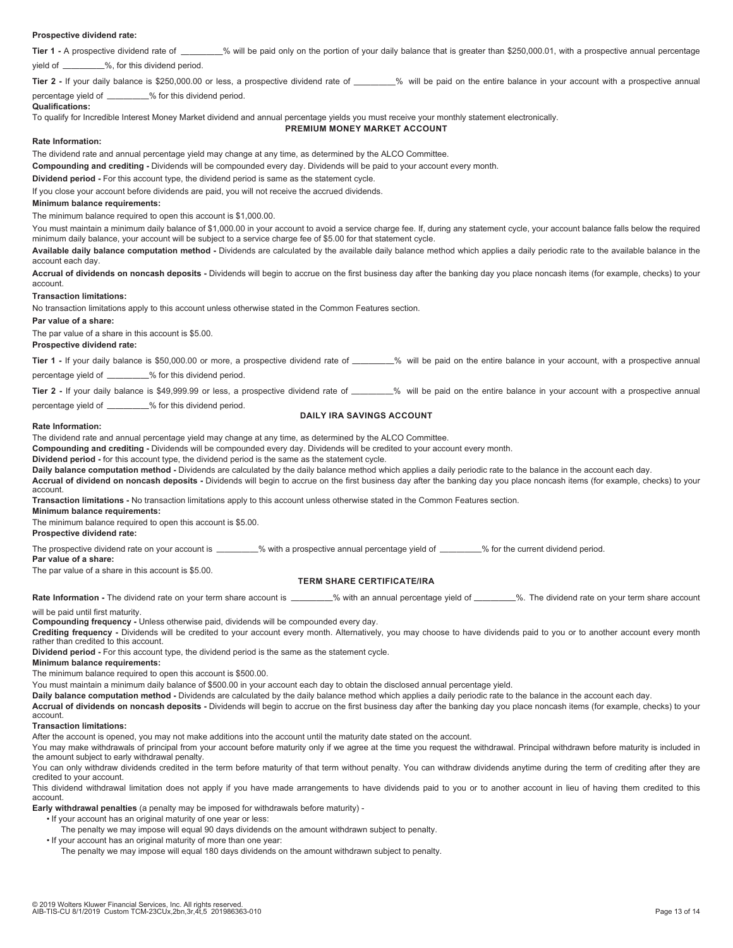### **Prospective dividend rate:**

**Tier 1** - A prospective dividend rate of \_\_\_\_\_\_\_\_% will be paid only on the portion of your daily balance that is greater than \$250,000.01, with a prospective annual percentage yield of —————%, for this dividend period.

Tier 2 - If your daily balance is \$250,000.00 or less, a prospective dividend rate of \_\_\_\_\_\_\_% will be paid on the entire balance in your account with a prospective annual percentage yield of  $\frac{1}{2}$  % for this dividend period.

# **Qualifications:**

To qualify for Incredible Interest Money Market dividend and annual percentage yields you must receive your monthly statement electronically.

# **PREMIUM MONEY MARKET ACCOUNT**

### **Rate Information:**

The dividend rate and annual percentage yield may change at any time, as determined by the ALCO Committee.

**Compounding and crediting -** Dividends will be compounded every day. Dividends will be paid to your account every month.

**Dividend period -** For this account type, the dividend period is same as the statement cycle.

If you close your account before dividends are paid, you will not receive the accrued dividends.

### **Minimum balance requirements:**

The minimum balance required to open this account is \$1,000.00.

You must maintain a minimum daily balance of \$1,000.00 in your account to avoid a service charge fee. If, during any statement cycle, your account balance falls below the required minimum daily balance, your account will be subject to a service charge fee of \$5.00 for that statement cycle.

**Available daily balance computation method -** Dividends are calculated by the available daily balance method which applies a daily periodic rate to the available balance in the account each day.

**Accrual of dividends on noncash deposits -** Dividends will begin to accrue on the first business day after the banking day you place noncash items (for example, checks) to your account.

**Transaction limitations:**

No transaction limitations apply to this account unless otherwise stated in the Common Features section.

**Par value of a share:**

The par value of a share in this account is \$5.00.

**Prospective dividend rate:** 

Tier 1 - If your daily balance is \$50,000.00 or more, a prospective dividend rate of \_\_\_\_\_\_% will be paid on the entire balance in your account, with a prospective annual percentage yield of \_\_\_\_\_\_\_\_% for this dividend period.

**Tier 2** - If your daily balance is \$49,999.99 or less, a prospective dividend rate of \_\_\_\_\_\_% will be paid on the entire balance in your account with a prospective annual

percentage yield of \_\_\_\_\_\_\_\_% for this dividend period.

# **DAILY IRA SAVINGS ACCOUNT**

### **Rate Information:**

The dividend rate and annual percentage yield may change at any time, as determined by the ALCO Committee.

**Compounding and crediting -** Dividends will be compounded every day. Dividends will be credited to your account every month.

**Dividend period -** for this account type, the dividend period is the same as the statement cycle.

**Daily balance computation method -** Dividends are calculated by the daily balance method which applies a daily periodic rate to the balance in the account each day.

**Accrual of dividend on noncash deposits -** Dividends will begin to accrue on the first business day after the banking day you place noncash items (for example, checks) to your account.

**Transaction limitations -** No transaction limitations apply to this account unless otherwise stated in the Common Features section.

**Minimum balance requirements:**

The minimum balance required to open this account is \$5.00.

# **Prospective dividend rate:**

The prospective dividend rate on your account is \_\_\_\_\_\_\_\_% with a prospective annual percentage yield of \_\_\_\_\_\_\_\_% for the current dividend period.

#### **Par value of a share:**

The par value of a share in this account is \$5.00.

### **TERM SHARE CERTIFICATE/IRA**

**Rate Information -** The dividend rate on your term share account is \_\_\_\_\_\_\_\_% with an annual percentage yield of \_\_\_\_\_\_\_\_%. The dividend rate on your term share account

### will be paid until first maturity.

**Compounding frequency -** Unless otherwise paid, dividends will be compounded every day.

**Crediting frequency -** Dividends will be credited to your account every month. Alternatively, you may choose to have dividends paid to you or to another account every month rather than credited to this account.

**Dividend period -** For this account type, the dividend period is the same as the statement cycle.

### **Minimum balance requirements:**

The minimum balance required to open this account is \$500.00.

You must maintain a minimum daily balance of \$500.00 in your account each day to obtain the disclosed annual percentage yield.

**Daily balance computation method -** Dividends are calculated by the daily balance method which applies a daily periodic rate to the balance in the account each day.

**Accrual of dividends on noncash deposits -** Dividends will begin to accrue on the first business day after the banking day you place noncash items (for example, checks) to your account.

#### **Transaction limitations:**

After the account is opened, you may not make additions into the account until the maturity date stated on the account.

You may make withdrawals of principal from your account before maturity only if we agree at the time you request the withdrawal. Principal withdrawn before maturity is included in the amount subject to early withdrawal penalty.

You can only withdraw dividends credited in the term before maturity of that term without penalty. You can withdraw dividends anytime during the term of crediting after they are credited to your account.

This dividend withdrawal limitation does not apply if you have made arrangements to have dividends paid to you or to another account in lieu of having them credited to this account.

**Early withdrawal penalties** (a penalty may be imposed for withdrawals before maturity) -

- If your account has an original maturity of one year or less:
	- The penalty we may impose will equal 90 days dividends on the amount withdrawn subject to penalty.
- If your account has an original maturity of more than one year:

The penalty we may impose will equal 180 days dividends on the amount withdrawn subject to penalty.